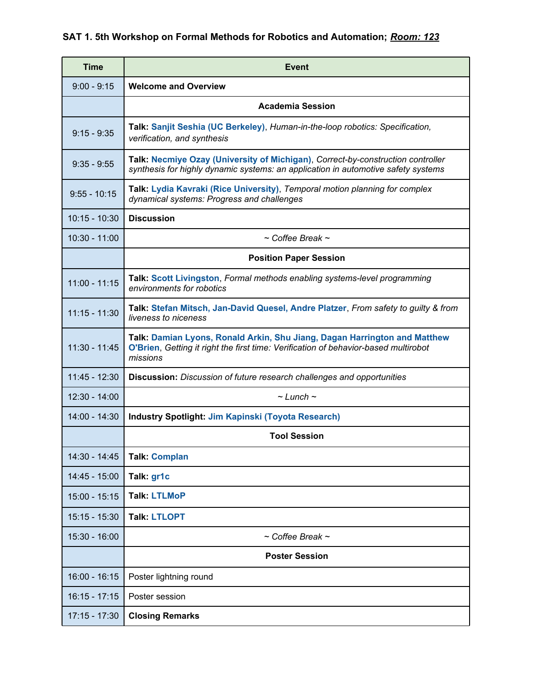#### **SAT 1. 5th Workshop on Formal Methods for Robotics and Automation;** *Room: 123*

| <b>Time</b>     | Event                                                                                                                                                                        |
|-----------------|------------------------------------------------------------------------------------------------------------------------------------------------------------------------------|
| $9:00 - 9:15$   | <b>Welcome and Overview</b>                                                                                                                                                  |
|                 | <b>Academia Session</b>                                                                                                                                                      |
| $9:15 - 9:35$   | Talk: Sanjit Seshia (UC Berkeley), Human-in-the-loop robotics: Specification,<br>verification, and synthesis                                                                 |
| $9:35 - 9:55$   | Talk: Necmiye Ozay (University of Michigan), Correct-by-construction controller<br>synthesis for highly dynamic systems: an application in automotive safety systems         |
| $9:55 - 10:15$  | Talk: Lydia Kavraki (Rice University), Temporal motion planning for complex<br>dynamical systems: Progress and challenges                                                    |
| $10:15 - 10:30$ | <b>Discussion</b>                                                                                                                                                            |
| $10:30 - 11:00$ | $\sim$ Coffee Break $\sim$                                                                                                                                                   |
|                 | <b>Position Paper Session</b>                                                                                                                                                |
| $11:00 - 11:15$ | <b>Talk: Scott Livingston, Formal methods enabling systems-level programming</b><br>environments for robotics                                                                |
| $11:15 - 11:30$ | Talk: Stefan Mitsch, Jan-David Quesel, Andre Platzer, From safety to guilty & from<br>liveness to niceness                                                                   |
| $11:30 - 11:45$ | Talk: Damian Lyons, Ronald Arkin, Shu Jiang, Dagan Harrington and Matthew<br>O'Brien, Getting it right the first time: Verification of behavior-based multirobot<br>missions |
| $11:45 - 12:30$ | <b>Discussion:</b> Discussion of future research challenges and opportunities                                                                                                |
| $12:30 - 14:00$ | $\sim$ Lunch $\sim$                                                                                                                                                          |
| $14:00 - 14:30$ | <b>Industry Spotlight: Jim Kapinski (Toyota Research)</b>                                                                                                                    |
|                 | <b>Tool Session</b>                                                                                                                                                          |
| 14:30 - 14:45   | <b>Talk: Complan</b>                                                                                                                                                         |
| 14:45 - 15:00   | Talk: gr1c                                                                                                                                                                   |
| $15:00 - 15:15$ | <b>Talk: LTLMoP</b>                                                                                                                                                          |
| 15:15 - 15:30   | <b>Talk: LTLOPT</b>                                                                                                                                                          |
| $15:30 - 16:00$ | $\sim$ Coffee Break $\sim$                                                                                                                                                   |
|                 | <b>Poster Session</b>                                                                                                                                                        |
| $16:00 - 16:15$ | Poster lightning round                                                                                                                                                       |
| $16:15 - 17:15$ | Poster session                                                                                                                                                               |
| 17:15 - 17:30   | <b>Closing Remarks</b>                                                                                                                                                       |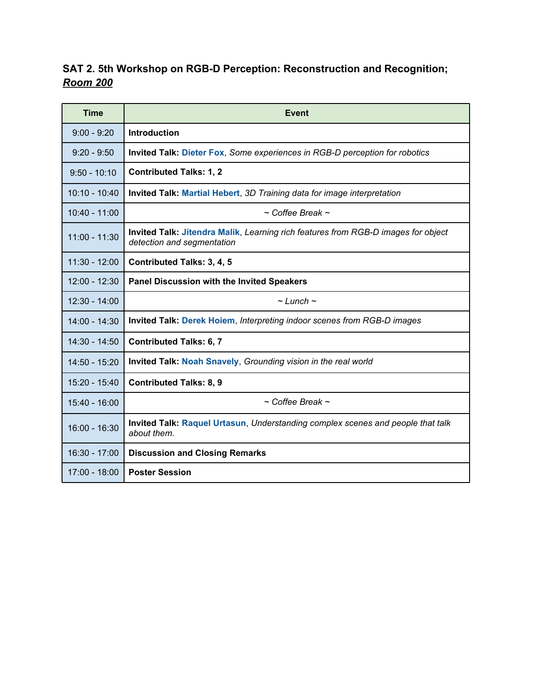### **SAT 2. 5th Workshop on RGB-D Perception: Reconstruction and Recognition;**  *Room 200*

| <b>Time</b>     | <b>Event</b>                                                                                                    |
|-----------------|-----------------------------------------------------------------------------------------------------------------|
| $9:00 - 9:20$   | <b>Introduction</b>                                                                                             |
| $9:20 - 9:50$   | Invited Talk: Dieter Fox, Some experiences in RGB-D perception for robotics                                     |
| $9:50 - 10:10$  | <b>Contributed Talks: 1, 2</b>                                                                                  |
| $10:10 - 10:40$ | Invited Talk: Martial Hebert, 3D Training data for image interpretation                                         |
| $10:40 - 11:00$ | $\sim$ Coffee Break $\sim$                                                                                      |
| $11:00 - 11:30$ | Invited Talk: Jitendra Malik, Learning rich features from RGB-D images for object<br>detection and segmentation |
| $11:30 - 12:00$ | <b>Contributed Talks: 3, 4, 5</b>                                                                               |
| $12:00 - 12:30$ | <b>Panel Discussion with the Invited Speakers</b>                                                               |
| $12:30 - 14:00$ | $\sim$ Lunch $\sim$                                                                                             |
| $14:00 - 14:30$ | <b>Invited Talk: Derek Hoiem, Interpreting indoor scenes from RGB-D images</b>                                  |
| $14:30 - 14:50$ | <b>Contributed Talks: 6, 7</b>                                                                                  |
| 14:50 - 15:20   | Invited Talk: Noah Snavely, Grounding vision in the real world                                                  |
| 15:20 - 15:40   | <b>Contributed Talks: 8, 9</b>                                                                                  |
| $15:40 - 16:00$ | $\sim$ Coffee Break $\sim$                                                                                      |
| 16:00 - 16:30   | Invited Talk: Raquel Urtasun, Understanding complex scenes and people that talk<br>about them.                  |
| 16:30 - 17:00   | <b>Discussion and Closing Remarks</b>                                                                           |
| $17:00 - 18:00$ | <b>Poster Session</b>                                                                                           |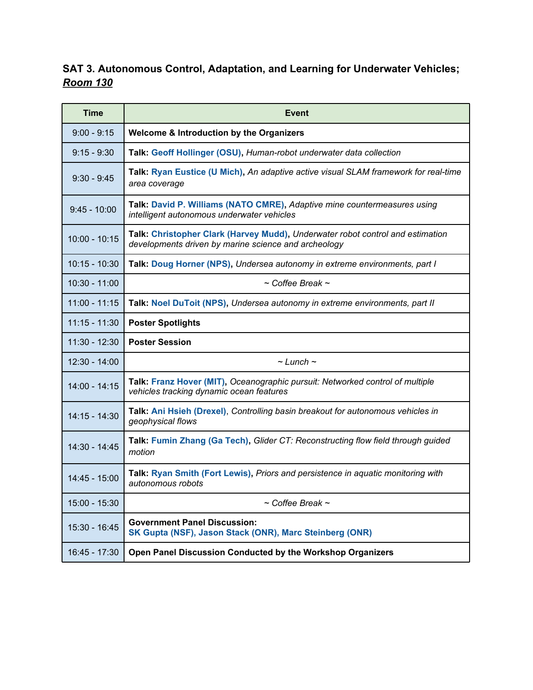### **SAT 3. Autonomous Control, Adaptation, and Learning for Underwater Vehicles;**  *Room 130*

| <b>Time</b>     | <b>Event</b>                                                                                                                           |
|-----------------|----------------------------------------------------------------------------------------------------------------------------------------|
| $9:00 - 9:15$   | Welcome & Introduction by the Organizers                                                                                               |
| $9:15 - 9:30$   | Talk: Geoff Hollinger (OSU), Human-robot underwater data collection                                                                    |
| $9:30 - 9:45$   | Talk: Ryan Eustice (U Mich), An adaptive active visual SLAM framework for real-time<br>area coverage                                   |
| $9:45 - 10:00$  | Talk: David P. Williams (NATO CMRE), Adaptive mine countermeasures using<br>intelligent autonomous underwater vehicles                 |
| $10:00 - 10:15$ | Talk: Christopher Clark (Harvey Mudd), Underwater robot control and estimation<br>developments driven by marine science and archeology |
| $10:15 - 10:30$ | Talk: Doug Horner (NPS), Undersea autonomy in extreme environments, part I                                                             |
| $10:30 - 11:00$ | $\sim$ Coffee Break $\sim$                                                                                                             |
| $11:00 - 11:15$ | Talk: Noel DuToit (NPS), Undersea autonomy in extreme environments, part II                                                            |
| $11:15 - 11:30$ | <b>Poster Spotlights</b>                                                                                                               |
| $11:30 - 12:30$ | <b>Poster Session</b>                                                                                                                  |
| $12:30 - 14:00$ | $\sim$ Lunch $\sim$                                                                                                                    |
| $14:00 - 14:15$ | Talk: Franz Hover (MIT), Oceanographic pursuit: Networked control of multiple<br>vehicles tracking dynamic ocean features              |
| $14:15 - 14:30$ | Talk: Ani Hsieh (Drexel), Controlling basin breakout for autonomous vehicles in<br>geophysical flows                                   |
| 14:30 - 14:45   | Talk: Fumin Zhang (Ga Tech), Glider CT: Reconstructing flow field through guided<br>motion                                             |
| $14:45 - 15:00$ | Talk: Ryan Smith (Fort Lewis), Priors and persistence in aquatic monitoring with<br>autonomous robots                                  |
| $15:00 - 15:30$ | $\sim$ Coffee Break $\sim$                                                                                                             |
| 15:30 - 16:45   | <b>Government Panel Discussion:</b><br>SK Gupta (NSF), Jason Stack (ONR), Marc Steinberg (ONR)                                         |
| $16:45 - 17:30$ | Open Panel Discussion Conducted by the Workshop Organizers                                                                             |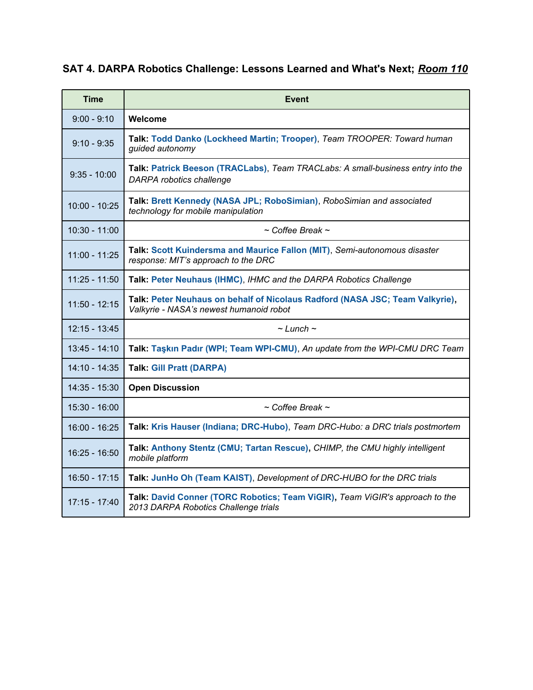## **SAT 4. DARPA Robotics Challenge: Lessons Learned and What's Next;** *Room 110*

| <b>Time</b>     | <b>Event</b>                                                                                                            |
|-----------------|-------------------------------------------------------------------------------------------------------------------------|
| $9:00 - 9:10$   | Welcome                                                                                                                 |
| $9:10 - 9:35$   | Talk: Todd Danko (Lockheed Martin; Trooper), Team TROOPER: Toward human<br>guided autonomy                              |
| $9:35 - 10:00$  | Talk: Patrick Beeson (TRACLabs), Team TRACLabs: A small-business entry into the<br><b>DARPA</b> robotics challenge      |
| $10:00 - 10:25$ | Talk: Brett Kennedy (NASA JPL; RoboSimian), RoboSimian and associated<br>technology for mobile manipulation             |
| $10:30 - 11:00$ | $\sim$ Coffee Break $\sim$                                                                                              |
| 11:00 - 11:25   | Talk: Scott Kuindersma and Maurice Fallon (MIT), Semi-autonomous disaster<br>response: MIT's approach to the DRC        |
| $11:25 - 11:50$ | Talk: Peter Neuhaus (IHMC), IHMC and the DARPA Robotics Challenge                                                       |
| $11:50 - 12:15$ | Talk: Peter Neuhaus on behalf of Nicolaus Radford (NASA JSC; Team Valkyrie),<br>Valkyrie - NASA's newest humanoid robot |
| $12:15 - 13:45$ | $\sim$ Lunch $\sim$                                                                                                     |
| $13:45 - 14:10$ | Talk: Taşkın Padır (WPI; Team WPI-CMU), An update from the WPI-CMU DRC Team                                             |
| $14:10 - 14:35$ | <b>Talk: Gill Pratt (DARPA)</b>                                                                                         |
| 14:35 - 15:30   | <b>Open Discussion</b>                                                                                                  |
| $15:30 - 16:00$ | $\sim$ Coffee Break $\sim$                                                                                              |
| $16:00 - 16:25$ | Talk: Kris Hauser (Indiana; DRC-Hubo), Team DRC-Hubo: a DRC trials postmortem                                           |
| $16:25 - 16:50$ | Talk: Anthony Stentz (CMU; Tartan Rescue), CHIMP, the CMU highly intelligent<br>mobile platform                         |
| $16:50 - 17:15$ | Talk: JunHo Oh (Team KAIST), Development of DRC-HUBO for the DRC trials                                                 |
| $17:15 - 17:40$ | Talk: David Conner (TORC Robotics; Team ViGIR), Team ViGIR's approach to the<br>2013 DARPA Robotics Challenge trials    |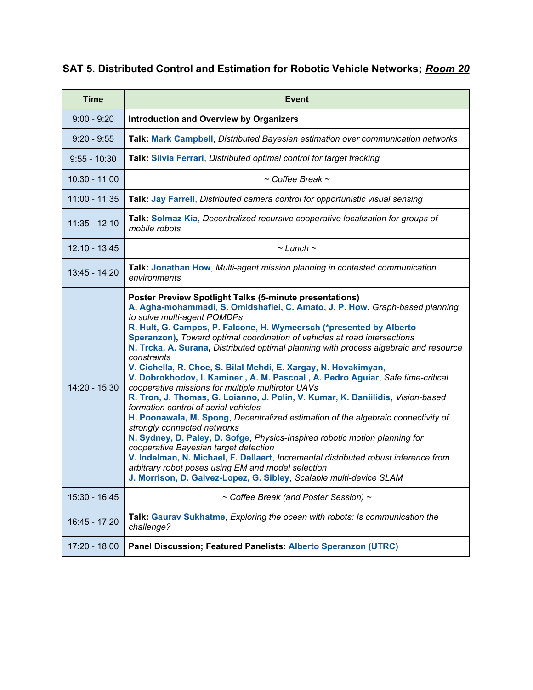#### **SAT 5. Distributed Control and Estimation for Robotic Vehicle Networks;** *Room 20*

| <b>Time</b>     | <b>Event</b>                                                                                                                                                                                                                                                                                                                                                                                                                                                                                                                                                                                                                                                                                                                                                                                                                                                                                                                                                                                                                                                                                                                                                                                                                                   |
|-----------------|------------------------------------------------------------------------------------------------------------------------------------------------------------------------------------------------------------------------------------------------------------------------------------------------------------------------------------------------------------------------------------------------------------------------------------------------------------------------------------------------------------------------------------------------------------------------------------------------------------------------------------------------------------------------------------------------------------------------------------------------------------------------------------------------------------------------------------------------------------------------------------------------------------------------------------------------------------------------------------------------------------------------------------------------------------------------------------------------------------------------------------------------------------------------------------------------------------------------------------------------|
| $9:00 - 9:20$   | <b>Introduction and Overview by Organizers</b>                                                                                                                                                                                                                                                                                                                                                                                                                                                                                                                                                                                                                                                                                                                                                                                                                                                                                                                                                                                                                                                                                                                                                                                                 |
| $9:20 - 9:55$   | Talk: Mark Campbell, Distributed Bayesian estimation over communication networks                                                                                                                                                                                                                                                                                                                                                                                                                                                                                                                                                                                                                                                                                                                                                                                                                                                                                                                                                                                                                                                                                                                                                               |
| $9:55 - 10:30$  | Talk: Silvia Ferrari, Distributed optimal control for target tracking                                                                                                                                                                                                                                                                                                                                                                                                                                                                                                                                                                                                                                                                                                                                                                                                                                                                                                                                                                                                                                                                                                                                                                          |
| $10:30 - 11:00$ | $\sim$ Coffee Break $\sim$                                                                                                                                                                                                                                                                                                                                                                                                                                                                                                                                                                                                                                                                                                                                                                                                                                                                                                                                                                                                                                                                                                                                                                                                                     |
| $11:00 - 11:35$ | Talk: Jay Farrell, Distributed camera control for opportunistic visual sensing                                                                                                                                                                                                                                                                                                                                                                                                                                                                                                                                                                                                                                                                                                                                                                                                                                                                                                                                                                                                                                                                                                                                                                 |
| $11:35 - 12:10$ | Talk: Solmaz Kia, Decentralized recursive cooperative localization for groups of<br>mobile robots                                                                                                                                                                                                                                                                                                                                                                                                                                                                                                                                                                                                                                                                                                                                                                                                                                                                                                                                                                                                                                                                                                                                              |
| 12:10 - 13:45   | $\sim$ Lunch $\sim$                                                                                                                                                                                                                                                                                                                                                                                                                                                                                                                                                                                                                                                                                                                                                                                                                                                                                                                                                                                                                                                                                                                                                                                                                            |
| 13:45 - 14:20   | Talk: Jonathan How, Multi-agent mission planning in contested communication<br>environments                                                                                                                                                                                                                                                                                                                                                                                                                                                                                                                                                                                                                                                                                                                                                                                                                                                                                                                                                                                                                                                                                                                                                    |
| 14:20 - 15:30   | <b>Poster Preview Spotlight Talks (5-minute presentations)</b><br>A. Agha-mohammadi, S. Omidshafiei, C. Amato, J. P. How, Graph-based planning<br>to solve multi-agent POMDPs<br>R. Hult, G. Campos, P. Falcone, H. Wymeersch (*presented by Alberto<br>Speranzon), Toward optimal coordination of vehicles at road intersections<br>N. Trcka, A. Surana, Distributed optimal planning with process algebraic and resource<br>constraints<br>V. Cichella, R. Choe, S. Bilal Mehdi, E. Xargay, N. Hovakimyan,<br>V. Dobrokhodov, I. Kaminer, A. M. Pascoal, A. Pedro Aguiar, Safe time-critical<br>cooperative missions for multiple multirotor UAVs<br>R. Tron, J. Thomas, G. Loianno, J. Polin, V. Kumar, K. Daniilidis, Vision-based<br>formation control of aerial vehicles<br>H. Poonawala, M. Spong, Decentralized estimation of the algebraic connectivity of<br>strongly connected networks<br>N. Sydney, D. Paley, D. Sofge, Physics-Inspired robotic motion planning for<br>cooperative Bayesian target detection<br>V. Indelman, N. Michael, F. Dellaert, Incremental distributed robust inference from<br>arbitrary robot poses using EM and model selection<br>J. Morrison, D. Galvez-Lopez, G. Sibley, Scalable multi-device SLAM |
| 15:30 - 16:45   | ~ Coffee Break (and Poster Session) ~                                                                                                                                                                                                                                                                                                                                                                                                                                                                                                                                                                                                                                                                                                                                                                                                                                                                                                                                                                                                                                                                                                                                                                                                          |
| 16:45 - 17:20   | Talk: Gaurav Sukhatme, Exploring the ocean with robots: Is communication the<br>challenge?                                                                                                                                                                                                                                                                                                                                                                                                                                                                                                                                                                                                                                                                                                                                                                                                                                                                                                                                                                                                                                                                                                                                                     |
| 17:20 - 18:00   | Panel Discussion; Featured Panelists: Alberto Speranzon (UTRC)                                                                                                                                                                                                                                                                                                                                                                                                                                                                                                                                                                                                                                                                                                                                                                                                                                                                                                                                                                                                                                                                                                                                                                                 |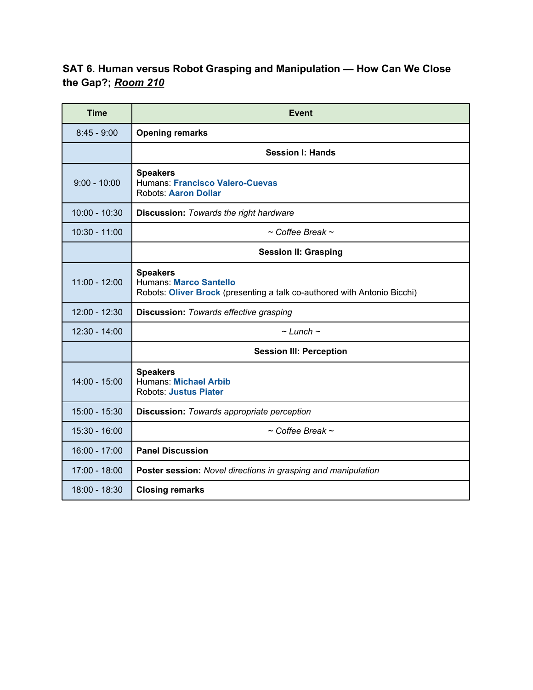#### **SAT 6. Human versus Robot Grasping and Manipulation — How Can We Close the Gap?;** *Room 210*

| <b>Time</b>     | <b>Event</b>                                                                                                                 |
|-----------------|------------------------------------------------------------------------------------------------------------------------------|
| $8:45 - 9:00$   | <b>Opening remarks</b>                                                                                                       |
|                 | <b>Session I: Hands</b>                                                                                                      |
| $9:00 - 10:00$  | <b>Speakers</b><br><b>Humans: Francisco Valero-Cuevas</b><br><b>Robots: Aaron Dollar</b>                                     |
| $10:00 - 10:30$ | <b>Discussion: Towards the right hardware</b>                                                                                |
| $10:30 - 11:00$ | $\sim$ Coffee Break $\sim$                                                                                                   |
|                 | <b>Session II: Grasping</b>                                                                                                  |
| $11:00 - 12:00$ | <b>Speakers</b><br><b>Humans: Marco Santello</b><br>Robots: Oliver Brock (presenting a talk co-authored with Antonio Bicchi) |
| 12:00 - 12:30   | <b>Discussion: Towards effective grasping</b>                                                                                |
| $12:30 - 14:00$ | $\sim$ Lunch $\sim$                                                                                                          |
|                 | <b>Session III: Perception</b>                                                                                               |
| $14:00 - 15:00$ | <b>Speakers</b><br>Humans: Michael Arbib<br><b>Robots: Justus Piater</b>                                                     |
| 15:00 - 15:30   | <b>Discussion: Towards appropriate perception</b>                                                                            |
| $15:30 - 16:00$ | $\sim$ Coffee Break $\sim$                                                                                                   |
| 16:00 - 17:00   | <b>Panel Discussion</b>                                                                                                      |
| 17:00 - 18:00   | Poster session: Novel directions in grasping and manipulation                                                                |
| 18:00 - 18:30   | <b>Closing remarks</b>                                                                                                       |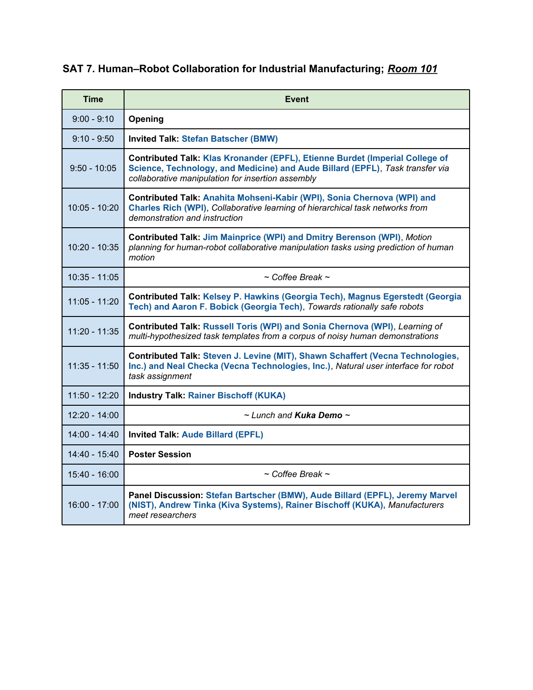## **SAT 7. Human–Robot Collaboration for Industrial Manufacturing;** *Room 101*

| <b>Time</b>     | <b>Event</b>                                                                                                                                                                                                       |
|-----------------|--------------------------------------------------------------------------------------------------------------------------------------------------------------------------------------------------------------------|
| $9:00 - 9:10$   | Opening                                                                                                                                                                                                            |
| $9:10 - 9:50$   | <b>Invited Talk: Stefan Batscher (BMW)</b>                                                                                                                                                                         |
| $9:50 - 10:05$  | Contributed Talk: Klas Kronander (EPFL), Etienne Burdet (Imperial College of<br>Science, Technology, and Medicine) and Aude Billard (EPFL), Task transfer via<br>collaborative manipulation for insertion assembly |
| $10:05 - 10:20$ | Contributed Talk: Anahita Mohseni-Kabir (WPI), Sonia Chernova (WPI) and<br>Charles Rich (WPI), Collaborative learning of hierarchical task networks from<br>demonstration and instruction                          |
| $10:20 - 10:35$ | Contributed Talk: Jim Mainprice (WPI) and Dmitry Berenson (WPI), Motion<br>planning for human-robot collaborative manipulation tasks using prediction of human<br>motion                                           |
| $10:35 - 11:05$ | $\sim$ Coffee Break $\sim$                                                                                                                                                                                         |
| $11:05 - 11:20$ | Contributed Talk: Kelsey P. Hawkins (Georgia Tech), Magnus Egerstedt (Georgia<br>Tech) and Aaron F. Bobick (Georgia Tech), Towards rationally safe robots                                                          |
| $11:20 - 11:35$ | Contributed Talk: Russell Toris (WPI) and Sonia Chernova (WPI), Learning of<br>multi-hypothesized task templates from a corpus of noisy human demonstrations                                                       |
| $11:35 - 11:50$ | Contributed Talk: Steven J. Levine (MIT), Shawn Schaffert (Vecna Technologies,<br>Inc.) and Neal Checka (Vecna Technologies, Inc.), Natural user interface for robot<br>task assignment                            |
| $11:50 - 12:20$ | <b>Industry Talk: Rainer Bischoff (KUKA)</b>                                                                                                                                                                       |
| $12:20 - 14:00$ | $\sim$ Lunch and Kuka Demo $\sim$                                                                                                                                                                                  |
| $14:00 - 14:40$ | <b>Invited Talk: Aude Billard (EPFL)</b>                                                                                                                                                                           |
| 14:40 - 15:40   | <b>Poster Session</b>                                                                                                                                                                                              |
| $15:40 - 16:00$ | $\sim$ Coffee Break $\sim$                                                                                                                                                                                         |
| $16:00 - 17:00$ | Panel Discussion: Stefan Bartscher (BMW), Aude Billard (EPFL), Jeremy Marvel<br>(NIST), Andrew Tinka (Kiva Systems), Rainer Bischoff (KUKA), Manufacturers<br>meet researchers                                     |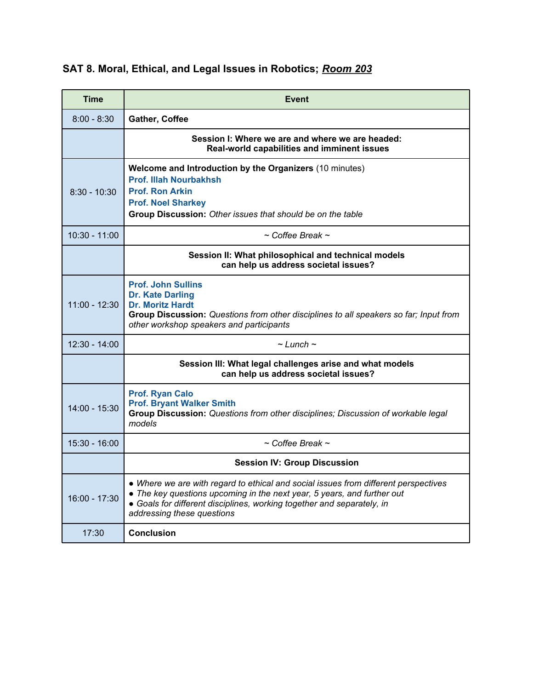## **SAT 8. Moral, Ethical, and Legal Issues in Robotics;** *Room 203*

| Time            | <b>Event</b>                                                                                                                                                                                                                                                           |
|-----------------|------------------------------------------------------------------------------------------------------------------------------------------------------------------------------------------------------------------------------------------------------------------------|
| $8:00 - 8:30$   | Gather, Coffee                                                                                                                                                                                                                                                         |
|                 | Session I: Where we are and where we are headed:<br>Real-world capabilities and imminent issues                                                                                                                                                                        |
| $8:30 - 10:30$  | Welcome and Introduction by the Organizers (10 minutes)<br><b>Prof. Illah Nourbakhsh</b><br><b>Prof. Ron Arkin</b><br><b>Prof. Noel Sharkey</b><br>Group Discussion: Other issues that should be on the table                                                          |
| 10:30 - 11:00   | $\sim$ Coffee Break $\sim$                                                                                                                                                                                                                                             |
|                 | Session II: What philosophical and technical models<br>can help us address societal issues?                                                                                                                                                                            |
| $11:00 - 12:30$ | <b>Prof. John Sullins</b><br><b>Dr. Kate Darling</b><br><b>Dr. Moritz Hardt</b><br>Group Discussion: Questions from other disciplines to all speakers so far; Input from<br>other workshop speakers and participants                                                   |
| $12:30 - 14:00$ | $\sim$ Lunch $\sim$                                                                                                                                                                                                                                                    |
|                 | Session III: What legal challenges arise and what models<br>can help us address societal issues?                                                                                                                                                                       |
| $14:00 - 15:30$ | <b>Prof. Ryan Calo</b><br><b>Prof. Bryant Walker Smith</b><br>Group Discussion: Questions from other disciplines; Discussion of workable legal<br>models                                                                                                               |
| $15:30 - 16:00$ | $\sim$ Coffee Break $\sim$                                                                                                                                                                                                                                             |
|                 | <b>Session IV: Group Discussion</b>                                                                                                                                                                                                                                    |
| $16:00 - 17:30$ | • Where we are with regard to ethical and social issues from different perspectives<br>• The key questions upcoming in the next year, 5 years, and further out<br>• Goals for different disciplines, working together and separately, in<br>addressing these questions |
| 17:30           | <b>Conclusion</b>                                                                                                                                                                                                                                                      |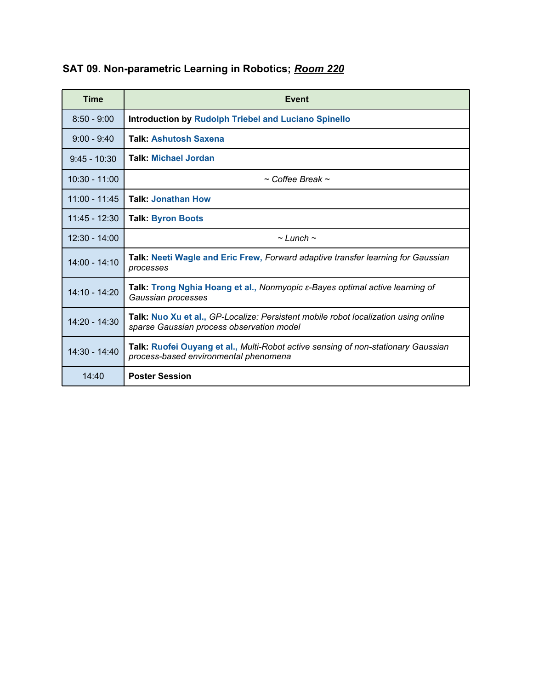| <b>Time</b>     | Event                                                                                                                            |
|-----------------|----------------------------------------------------------------------------------------------------------------------------------|
| $8:50 - 9:00$   | <b>Introduction by Rudolph Triebel and Luciano Spinello</b>                                                                      |
| $9:00 - 9:40$   | <b>Talk: Ashutosh Saxena</b>                                                                                                     |
| $9:45 - 10:30$  | <b>Talk: Michael Jordan</b>                                                                                                      |
| $10:30 - 11:00$ | $\sim$ Coffee Break $\sim$                                                                                                       |
| $11:00 - 11:45$ | <b>Talk: Jonathan How</b>                                                                                                        |
| $11:45 - 12:30$ | <b>Talk: Byron Boots</b>                                                                                                         |
| $12:30 - 14:00$ | $\sim$ Lunch $\sim$                                                                                                              |
| $14:00 - 14:10$ | Talk: Neeti Wagle and Eric Frew, Forward adaptive transfer learning for Gaussian<br>processes                                    |
| 14:10 - 14:20   | Talk: Trong Nghia Hoang et al., Nonmyopic ε-Bayes optimal active learning of<br>Gaussian processes                               |
| 14:20 - 14:30   | Talk: Nuo Xu et al., GP-Localize: Persistent mobile robot localization using online<br>sparse Gaussian process observation model |
| 14:30 - 14:40   | Talk: Ruofei Ouyang et al., Multi-Robot active sensing of non-stationary Gaussian<br>process-based environmental phenomena       |
| 14:40           | <b>Poster Session</b>                                                                                                            |

## **SAT 09. Non-parametric Learning in Robotics;** *Room 220*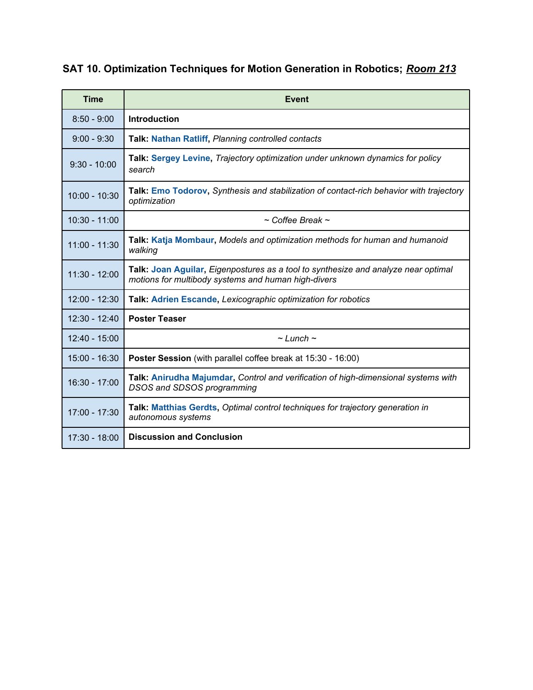## **SAT 10. Optimization Techniques for Motion Generation in Robotics;** *Room 213*

| <b>Time</b>     | Event                                                                                                                                     |
|-----------------|-------------------------------------------------------------------------------------------------------------------------------------------|
| $8:50 - 9:00$   | <b>Introduction</b>                                                                                                                       |
| $9:00 - 9:30$   | Talk: Nathan Ratliff, Planning controlled contacts                                                                                        |
| $9:30 - 10:00$  | Talk: Sergey Levine, Trajectory optimization under unknown dynamics for policy<br>search                                                  |
| $10:00 - 10:30$ | Talk: Emo Todorov, Synthesis and stabilization of contact-rich behavior with trajectory<br>optimization                                   |
| $10:30 - 11:00$ | $\sim$ Coffee Break $\sim$                                                                                                                |
| $11:00 - 11:30$ | Talk: Katja Mombaur, Models and optimization methods for human and humanoid<br>walking                                                    |
| 11:30 - 12:00   | Talk: Joan Aguilar, Eigenpostures as a tool to synthesize and analyze near optimal<br>motions for multibody systems and human high-divers |
| $12:00 - 12:30$ | Talk: Adrien Escande, Lexicographic optimization for robotics                                                                             |
| $12:30 - 12:40$ | <b>Poster Teaser</b>                                                                                                                      |
| 12:40 - 15:00   | $\sim$ Lunch $\sim$                                                                                                                       |
| $15:00 - 16:30$ | Poster Session (with parallel coffee break at 15:30 - 16:00)                                                                              |
| 16:30 - 17:00   | Talk: Anirudha Majumdar, Control and verification of high-dimensional systems with<br><b>DSOS and SDSOS programming</b>                   |
| 17:00 - 17:30   | Talk: Matthias Gerdts, Optimal control techniques for trajectory generation in<br>autonomous systems                                      |
| 17:30 - 18:00   | <b>Discussion and Conclusion</b>                                                                                                          |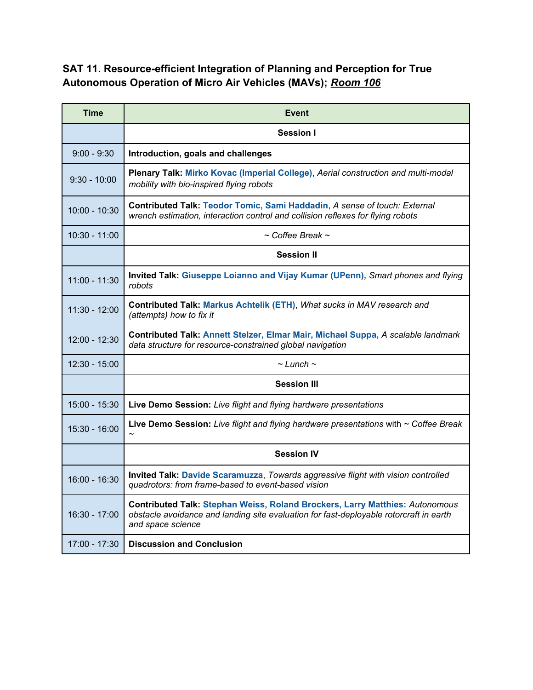#### **SAT 11. Resource-efficient Integration of Planning and Perception for True Autonomous Operation of Micro Air Vehicles (MAVs);** *Room 106*

| <b>Time</b>     | Event                                                                                                                                                                                              |
|-----------------|----------------------------------------------------------------------------------------------------------------------------------------------------------------------------------------------------|
|                 | Session I                                                                                                                                                                                          |
| $9:00 - 9:30$   | Introduction, goals and challenges                                                                                                                                                                 |
| $9:30 - 10:00$  | Plenary Talk: Mirko Kovac (Imperial College), Aerial construction and multi-modal<br>mobility with bio-inspired flying robots                                                                      |
| 10:00 - 10:30   | Contributed Talk: Teodor Tomic, Sami Haddadin, A sense of touch: External<br>wrench estimation, interaction control and collision reflexes for flying robots                                       |
| $10:30 - 11:00$ | $\sim$ Coffee Break $\sim$                                                                                                                                                                         |
|                 | <b>Session II</b>                                                                                                                                                                                  |
| $11:00 - 11:30$ | Invited Talk: Giuseppe Loianno and Vijay Kumar (UPenn), Smart phones and flying<br>robots                                                                                                          |
| 11:30 - 12:00   | Contributed Talk: Markus Achtelik (ETH), What sucks in MAV research and<br>(attempts) how to fix it                                                                                                |
| 12:00 - 12:30   | Contributed Talk: Annett Stelzer, Elmar Mair, Michael Suppa, A scalable landmark<br>data structure for resource-constrained global navigation                                                      |
| $12:30 - 15:00$ | $\sim$ Lunch $\sim$                                                                                                                                                                                |
|                 | <b>Session III</b>                                                                                                                                                                                 |
| $15:00 - 15:30$ | Live Demo Session: Live flight and flying hardware presentations                                                                                                                                   |
| 15:30 - 16:00   | Live Demo Session: Live flight and flying hardware presentations with $\sim$ Coffee Break                                                                                                          |
|                 | <b>Session IV</b>                                                                                                                                                                                  |
| 16:00 - 16:30   | Invited Talk: Davide Scaramuzza, Towards aggressive flight with vision controlled<br>quadrotors: from frame-based to event-based vision                                                            |
| 16:30 - 17:00   | <b>Contributed Talk: Stephan Weiss, Roland Brockers, Larry Matthies: Autonomous</b><br>obstacle avoidance and landing site evaluation for fast-deployable rotorcraft in earth<br>and space science |
| 17:00 - 17:30   | <b>Discussion and Conclusion</b>                                                                                                                                                                   |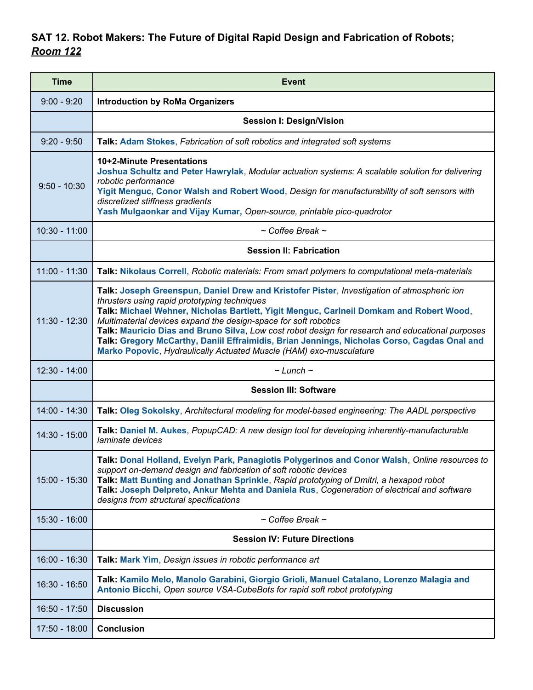### **SAT 12. Robot Makers: The Future of Digital Rapid Design and Fabrication of Robots;** *Room 122*

| <b>Time</b>     | <b>Event</b>                                                                                                                                                                                                                                                                                                                                                                                                                                                                                                                                                                      |
|-----------------|-----------------------------------------------------------------------------------------------------------------------------------------------------------------------------------------------------------------------------------------------------------------------------------------------------------------------------------------------------------------------------------------------------------------------------------------------------------------------------------------------------------------------------------------------------------------------------------|
| $9:00 - 9:20$   | <b>Introduction by RoMa Organizers</b>                                                                                                                                                                                                                                                                                                                                                                                                                                                                                                                                            |
|                 | <b>Session I: Design/Vision</b>                                                                                                                                                                                                                                                                                                                                                                                                                                                                                                                                                   |
| $9:20 - 9:50$   | Talk: Adam Stokes, Fabrication of soft robotics and integrated soft systems                                                                                                                                                                                                                                                                                                                                                                                                                                                                                                       |
| $9:50 - 10:30$  | 10+2-Minute Presentations<br>Joshua Schultz and Peter Hawrylak, Modular actuation systems: A scalable solution for delivering<br>robotic performance<br>Yigit Menguc, Conor Walsh and Robert Wood, Design for manufacturability of soft sensors with<br>discretized stiffness gradients<br>Yash Mulgaonkar and Vijay Kumar, Open-source, printable pico-quadrotor                                                                                                                                                                                                                 |
| $10:30 - 11:00$ | $\sim$ Coffee Break $\sim$                                                                                                                                                                                                                                                                                                                                                                                                                                                                                                                                                        |
|                 | <b>Session II: Fabrication</b>                                                                                                                                                                                                                                                                                                                                                                                                                                                                                                                                                    |
| $11:00 - 11:30$ | Talk: Nikolaus Correll, Robotic materials: From smart polymers to computational meta-materials                                                                                                                                                                                                                                                                                                                                                                                                                                                                                    |
| $11:30 - 12:30$ | Talk: Joseph Greenspun, Daniel Drew and Kristofer Pister, Investigation of atmospheric ion<br>thrusters using rapid prototyping techniques<br>Talk: Michael Wehner, Nicholas Bartlett, Yigit Menguc, Carlneil Domkam and Robert Wood,<br>Multimaterial devices expand the design-space for soft robotics<br>Talk: Mauricio Dias and Bruno Silva, Low cost robot design for research and educational purposes<br>Talk: Gregory McCarthy, Daniil Effraimidis, Brian Jennings, Nicholas Corso, Cagdas Onal and<br>Marko Popovic, Hydraulically Actuated Muscle (HAM) exo-musculature |
| $12:30 - 14:00$ | $\sim$ Lunch $\sim$                                                                                                                                                                                                                                                                                                                                                                                                                                                                                                                                                               |
|                 | <b>Session III: Software</b>                                                                                                                                                                                                                                                                                                                                                                                                                                                                                                                                                      |
| $14:00 - 14:30$ | Talk: Oleg Sokolsky, Architectural modeling for model-based engineering: The AADL perspective                                                                                                                                                                                                                                                                                                                                                                                                                                                                                     |
| 14:30 - 15:00   | Talk: Daniel M. Aukes, PopupCAD: A new design tool for developing inherently-manufacturable<br>laminate devices                                                                                                                                                                                                                                                                                                                                                                                                                                                                   |
| 15:00 - 15:30   | Talk: Donal Holland, Evelyn Park, Panagiotis Polygerinos and Conor Walsh, Online resources to<br>support on-demand design and fabrication of soft robotic devices<br>Talk: Matt Bunting and Jonathan Sprinkle, Rapid prototyping of Dmitri, a hexapod robot<br>Talk: Joseph Delpreto, Ankur Mehta and Daniela Rus, Cogeneration of electrical and software<br>designs from structural specifications                                                                                                                                                                              |
| $15:30 - 16:00$ | $\sim$ Coffee Break $\sim$                                                                                                                                                                                                                                                                                                                                                                                                                                                                                                                                                        |
|                 | <b>Session IV: Future Directions</b>                                                                                                                                                                                                                                                                                                                                                                                                                                                                                                                                              |
| 16:00 - 16:30   | Talk: Mark Yim, Design issues in robotic performance art                                                                                                                                                                                                                                                                                                                                                                                                                                                                                                                          |
| $16:30 - 16:50$ | Talk: Kamilo Melo, Manolo Garabini, Giorgio Grioli, Manuel Catalano, Lorenzo Malagia and<br>Antonio Bicchi, Open source VSA-CubeBots for rapid soft robot prototyping                                                                                                                                                                                                                                                                                                                                                                                                             |
| 16:50 - 17:50   | <b>Discussion</b>                                                                                                                                                                                                                                                                                                                                                                                                                                                                                                                                                                 |
| 17:50 - 18:00   | <b>Conclusion</b>                                                                                                                                                                                                                                                                                                                                                                                                                                                                                                                                                                 |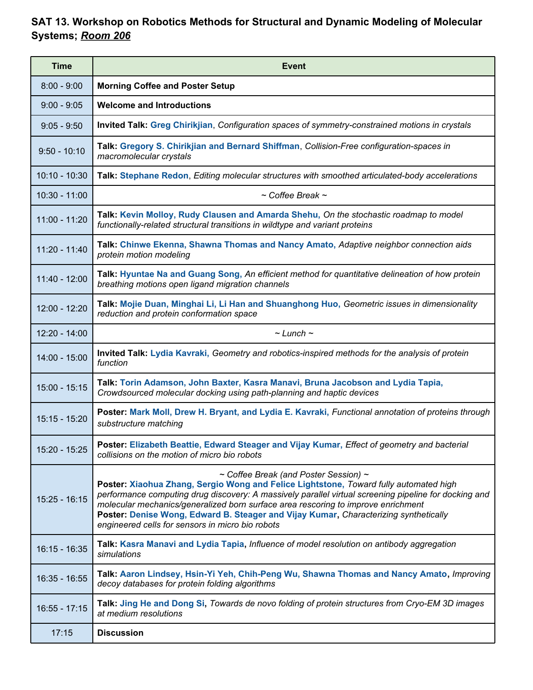### **SAT 13. Workshop on Robotics Methods for Structural and Dynamic Modeling of Molecular Systems;** *Room 206*

| <b>Time</b>     | <b>Event</b>                                                                                                                                                                                                                                                                                                                                                                                                                                                             |
|-----------------|--------------------------------------------------------------------------------------------------------------------------------------------------------------------------------------------------------------------------------------------------------------------------------------------------------------------------------------------------------------------------------------------------------------------------------------------------------------------------|
| $8:00 - 9:00$   | <b>Morning Coffee and Poster Setup</b>                                                                                                                                                                                                                                                                                                                                                                                                                                   |
| $9:00 - 9:05$   | <b>Welcome and Introductions</b>                                                                                                                                                                                                                                                                                                                                                                                                                                         |
| $9:05 - 9:50$   | Invited Talk: Greg Chirikjian, Configuration spaces of symmetry-constrained motions in crystals                                                                                                                                                                                                                                                                                                                                                                          |
| $9:50 - 10:10$  | Talk: Gregory S. Chirikjian and Bernard Shiffman, Collision-Free configuration-spaces in<br>macromolecular crystals                                                                                                                                                                                                                                                                                                                                                      |
| $10:10 - 10:30$ | Talk: Stephane Redon, Editing molecular structures with smoothed articulated-body accelerations                                                                                                                                                                                                                                                                                                                                                                          |
| $10:30 - 11:00$ | $\sim$ Coffee Break $\sim$                                                                                                                                                                                                                                                                                                                                                                                                                                               |
| $11:00 - 11:20$ | Talk: Kevin Molloy, Rudy Clausen and Amarda Shehu, On the stochastic roadmap to model<br>functionally-related structural transitions in wildtype and variant proteins                                                                                                                                                                                                                                                                                                    |
| $11:20 - 11:40$ | Talk: Chinwe Ekenna, Shawna Thomas and Nancy Amato, Adaptive neighbor connection aids<br>protein motion modeling                                                                                                                                                                                                                                                                                                                                                         |
| $11:40 - 12:00$ | Talk: Hyuntae Na and Guang Song, An efficient method for quantitative delineation of how protein<br>breathing motions open ligand migration channels                                                                                                                                                                                                                                                                                                                     |
| 12:00 - 12:20   | Talk: Mojie Duan, Minghai Li, Li Han and Shuanghong Huo, Geometric issues in dimensionality<br>reduction and protein conformation space                                                                                                                                                                                                                                                                                                                                  |
| $12:20 - 14:00$ | $\sim$ Lunch $\sim$                                                                                                                                                                                                                                                                                                                                                                                                                                                      |
| 14:00 - 15:00   | Invited Talk: Lydia Kavraki, Geometry and robotics-inspired methods for the analysis of protein<br>function                                                                                                                                                                                                                                                                                                                                                              |
| $15:00 - 15:15$ | Talk: Torin Adamson, John Baxter, Kasra Manavi, Bruna Jacobson and Lydia Tapia,<br>Crowdsourced molecular docking using path-planning and haptic devices                                                                                                                                                                                                                                                                                                                 |
| 15:15 - 15:20   | Poster: Mark Moll, Drew H. Bryant, and Lydia E. Kavraki, Functional annotation of proteins through<br>substructure matching                                                                                                                                                                                                                                                                                                                                              |
| 15:20 - 15:25   | Poster: Elizabeth Beattie, Edward Steager and Vijay Kumar, Effect of geometry and bacterial<br>collisions on the motion of micro bio robots                                                                                                                                                                                                                                                                                                                              |
| $15:25 - 16:15$ | ~ Coffee Break (and Poster Session) ~<br>Poster: Xiaohua Zhang, Sergio Wong and Felice Lightstone, Toward fully automated high<br>performance computing drug discovery: A massively parallel virtual screening pipeline for docking and<br>molecular mechanics/generalized born surface area rescoring to improve enrichment<br>Poster: Denise Wong, Edward B. Steager and Vijay Kumar, Characterizing synthetically<br>engineered cells for sensors in micro bio robots |
| $16:15 - 16:35$ | Talk: Kasra Manavi and Lydia Tapia, Influence of model resolution on antibody aggregation<br>simulations                                                                                                                                                                                                                                                                                                                                                                 |
| $16:35 - 16:55$ | Talk: Aaron Lindsey, Hsin-Yi Yeh, Chih-Peng Wu, Shawna Thomas and Nancy Amato, Improving<br>decoy databases for protein folding algorithms                                                                                                                                                                                                                                                                                                                               |
| $16:55 - 17:15$ | Talk: Jing He and Dong Si, Towards de novo folding of protein structures from Cryo-EM 3D images<br>at medium resolutions                                                                                                                                                                                                                                                                                                                                                 |
| 17:15           | <b>Discussion</b>                                                                                                                                                                                                                                                                                                                                                                                                                                                        |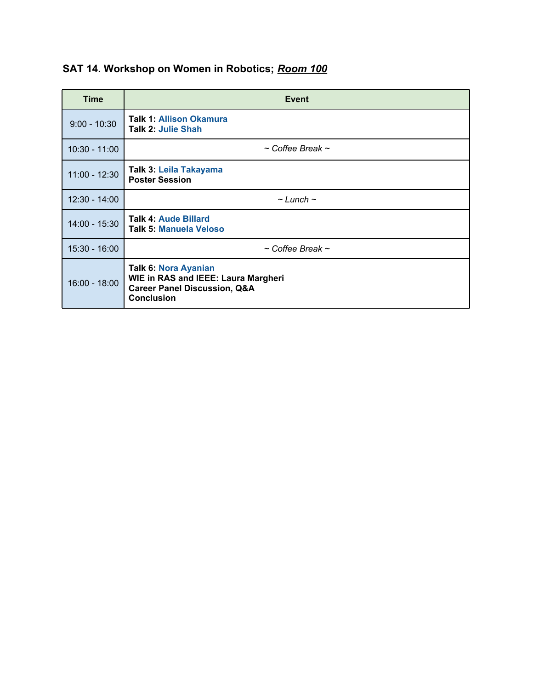|  | SAT 14. Workshop on Women in Robotics; Room 100 |  |  |  |
|--|-------------------------------------------------|--|--|--|
|--|-------------------------------------------------|--|--|--|

| Time            | Event                                                                                                                              |
|-----------------|------------------------------------------------------------------------------------------------------------------------------------|
| $9:00 - 10:30$  | <b>Talk 1: Allison Okamura</b><br><b>Talk 2: Julie Shah</b>                                                                        |
| $10:30 - 11:00$ | $\sim$ Coffee Break $\sim$                                                                                                         |
| $11:00 - 12:30$ | Talk 3: Leila Takayama<br><b>Poster Session</b>                                                                                    |
| $12:30 - 14:00$ | $\sim$ Lunch $\sim$                                                                                                                |
| 14:00 - 15:30   | <b>Talk 4: Aude Billard</b><br><b>Talk 5: Manuela Veloso</b>                                                                       |
| $15:30 - 16:00$ | $\sim$ Coffee Break $\sim$                                                                                                         |
| $16:00 - 18:00$ | Talk 6: Nora Ayanian<br><b>WIE in RAS and IEEE: Laura Margheri</b><br><b>Career Panel Discussion, Q&amp;A</b><br><b>Conclusion</b> |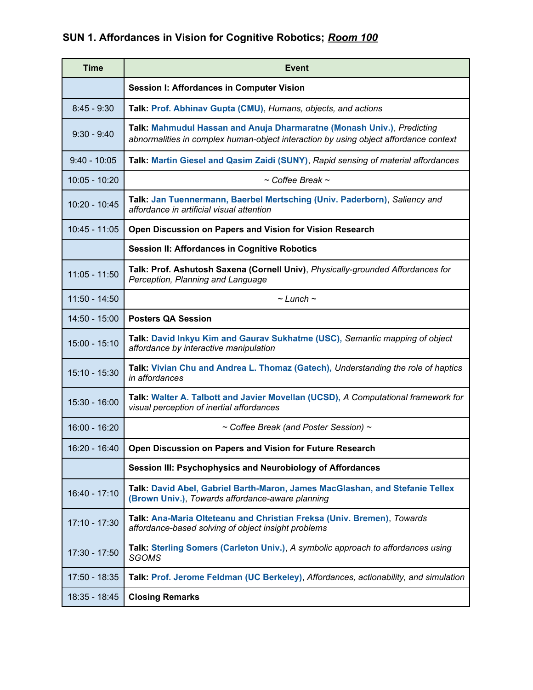## **SUN 1. Affordances in Vision for Cognitive Robotics;** *Room 100*

| <b>Time</b>     | <b>Event</b>                                                                                                                                                   |  |
|-----------------|----------------------------------------------------------------------------------------------------------------------------------------------------------------|--|
|                 | <b>Session I: Affordances in Computer Vision</b>                                                                                                               |  |
| $8:45 - 9:30$   | Talk: Prof. Abhinav Gupta (CMU), Humans, objects, and actions                                                                                                  |  |
| $9:30 - 9:40$   | Talk: Mahmudul Hassan and Anuja Dharmaratne (Monash Univ.), Predicting<br>abnormalities in complex human-object interaction by using object affordance context |  |
| $9:40 - 10:05$  | Talk: Martin Giesel and Qasim Zaidi (SUNY), Rapid sensing of material affordances                                                                              |  |
| $10:05 - 10:20$ | $\sim$ Coffee Break $\sim$                                                                                                                                     |  |
| 10:20 - 10:45   | Talk: Jan Tuennermann, Baerbel Mertsching (Univ. Paderborn), Saliency and<br>affordance in artificial visual attention                                         |  |
| $10:45 - 11:05$ | Open Discussion on Papers and Vision for Vision Research                                                                                                       |  |
|                 | <b>Session II: Affordances in Cognitive Robotics</b>                                                                                                           |  |
| $11:05 - 11:50$ | Talk: Prof. Ashutosh Saxena (Cornell Univ), Physically-grounded Affordances for<br>Perception, Planning and Language                                           |  |
| 11:50 - 14:50   | $\sim$ Lunch $\sim$                                                                                                                                            |  |
| $14:50 - 15:00$ | <b>Posters QA Session</b>                                                                                                                                      |  |
| $15:00 - 15:10$ | Talk: David Inkyu Kim and Gaurav Sukhatme (USC), Semantic mapping of object<br>affordance by interactive manipulation                                          |  |
| 15:10 - 15:30   | Talk: Vivian Chu and Andrea L. Thomaz (Gatech), Understanding the role of haptics<br>in affordances                                                            |  |
| 15:30 - 16:00   | Talk: Walter A. Talbott and Javier Movellan (UCSD), A Computational framework for<br>visual perception of inertial affordances                                 |  |
| 16:00 - 16:20   | ~ Coffee Break (and Poster Session) ~                                                                                                                          |  |
| 16:20 - 16:40   | Open Discussion on Papers and Vision for Future Research                                                                                                       |  |
|                 | Session III: Psychophysics and Neurobiology of Affordances                                                                                                     |  |
| 16:40 - 17:10   | Talk: David Abel, Gabriel Barth-Maron, James MacGlashan, and Stefanie Tellex<br>(Brown Univ.), Towards affordance-aware planning                               |  |
| 17:10 - 17:30   | Talk: Ana-Maria Olteteanu and Christian Freksa (Univ. Bremen), Towards<br>affordance-based solving of object insight problems                                  |  |
| 17:30 - 17:50   | Talk: Sterling Somers (Carleton Univ.), A symbolic approach to affordances using<br><b>SGOMS</b>                                                               |  |
| 17:50 - 18:35   | Talk: Prof. Jerome Feldman (UC Berkeley), Affordances, actionability, and simulation                                                                           |  |
| 18:35 - 18:45   | <b>Closing Remarks</b>                                                                                                                                         |  |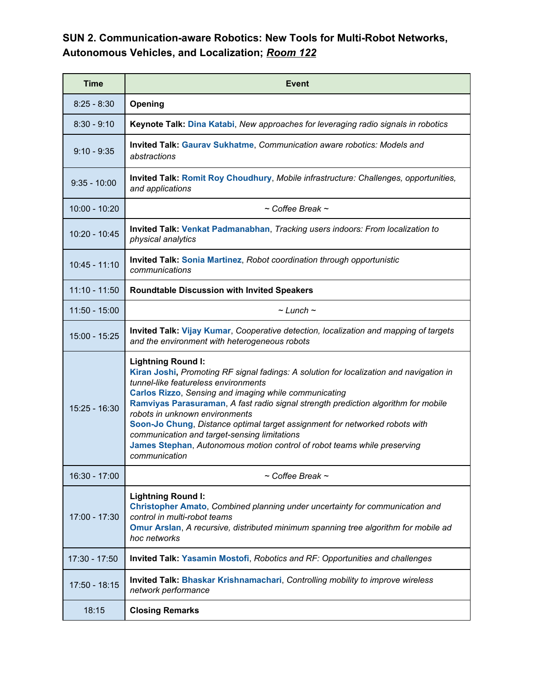#### **SUN 2. Communication-aware Robotics: New Tools for Multi-Robot Networks, Autonomous Vehicles, and Localization;** *Room 122*

| <b>Time</b>     | Event                                                                                                                                                                                                                                                                                                                                                                                                                                                                                                                                                                            |  |  |
|-----------------|----------------------------------------------------------------------------------------------------------------------------------------------------------------------------------------------------------------------------------------------------------------------------------------------------------------------------------------------------------------------------------------------------------------------------------------------------------------------------------------------------------------------------------------------------------------------------------|--|--|
| $8:25 - 8:30$   | Opening                                                                                                                                                                                                                                                                                                                                                                                                                                                                                                                                                                          |  |  |
| $8:30 - 9:10$   | Keynote Talk: Dina Katabi, New approaches for leveraging radio signals in robotics                                                                                                                                                                                                                                                                                                                                                                                                                                                                                               |  |  |
| $9:10 - 9:35$   | Invited Talk: Gaurav Sukhatme, Communication aware robotics: Models and<br>abstractions                                                                                                                                                                                                                                                                                                                                                                                                                                                                                          |  |  |
| $9:35 - 10:00$  | Invited Talk: Romit Roy Choudhury, Mobile infrastructure: Challenges, opportunities,<br>and applications                                                                                                                                                                                                                                                                                                                                                                                                                                                                         |  |  |
| 10:00 - 10:20   | $\sim$ Coffee Break $\sim$                                                                                                                                                                                                                                                                                                                                                                                                                                                                                                                                                       |  |  |
| 10:20 - 10:45   | <b>Invited Talk: Venkat Padmanabhan, Tracking users indoors: From localization to</b><br>physical analytics                                                                                                                                                                                                                                                                                                                                                                                                                                                                      |  |  |
| $10:45 - 11:10$ | <b>Invited Talk: Sonia Martinez, Robot coordination through opportunistic</b><br>communications                                                                                                                                                                                                                                                                                                                                                                                                                                                                                  |  |  |
| $11:10 - 11:50$ | <b>Roundtable Discussion with Invited Speakers</b>                                                                                                                                                                                                                                                                                                                                                                                                                                                                                                                               |  |  |
| $11:50 - 15:00$ | $\sim$ Lunch $\sim$                                                                                                                                                                                                                                                                                                                                                                                                                                                                                                                                                              |  |  |
| 15:00 - 15:25   | Invited Talk: Vijay Kumar, Cooperative detection, localization and mapping of targets<br>and the environment with heterogeneous robots                                                                                                                                                                                                                                                                                                                                                                                                                                           |  |  |
| $15:25 - 16:30$ | <b>Lightning Round I:</b><br>Kiran Joshi, Promoting RF signal fadings: A solution for localization and navigation in<br>tunnel-like featureless environments<br><b>Carlos Rizzo, Sensing and imaging while communicating</b><br>Ramviyas Parasuraman, A fast radio signal strength prediction algorithm for mobile<br>robots in unknown environments<br>Soon-Jo Chung, Distance optimal target assignment for networked robots with<br>communication and target-sensing limitations<br>James Stephan, Autonomous motion control of robot teams while preserving<br>communication |  |  |
| 16:30 - 17:00   | $\sim$ Coffee Break $\sim$                                                                                                                                                                                                                                                                                                                                                                                                                                                                                                                                                       |  |  |
| 17:00 - 17:30   | <b>Lightning Round I:</b><br>Christopher Amato, Combined planning under uncertainty for communication and<br>control in multi-robot teams<br>Omur Arslan, A recursive, distributed minimum spanning tree algorithm for mobile ad<br>hoc networks                                                                                                                                                                                                                                                                                                                                 |  |  |
| $17:30 - 17:50$ | Invited Talk: Yasamin Mostofi, Robotics and RF: Opportunities and challenges                                                                                                                                                                                                                                                                                                                                                                                                                                                                                                     |  |  |
| 17:50 - 18:15   | <b>Invited Talk: Bhaskar Krishnamachari, Controlling mobility to improve wireless</b><br>network performance                                                                                                                                                                                                                                                                                                                                                                                                                                                                     |  |  |
| 18:15           | <b>Closing Remarks</b>                                                                                                                                                                                                                                                                                                                                                                                                                                                                                                                                                           |  |  |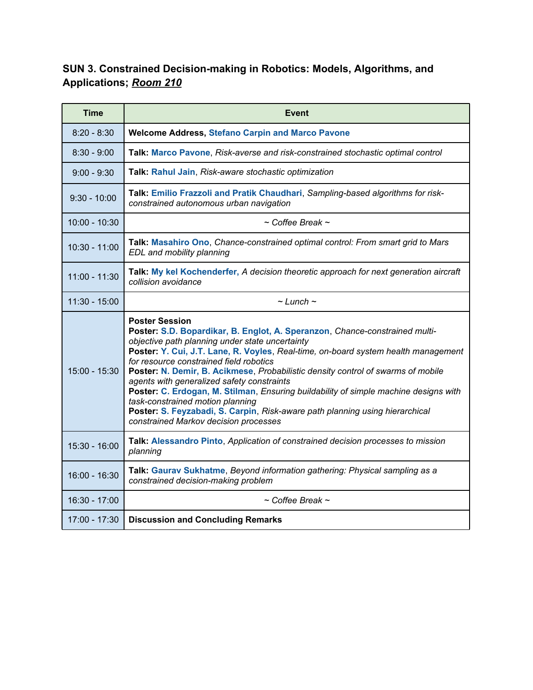### **SUN 3. Constrained Decision-making in Robotics: Models, Algorithms, and Applications;** *Room 210*

| <b>Time</b>     | <b>Event</b>                                                                                                                                                                                                                                                                                                                                                                                                                                                                                                                                                                                                                                                                    |  |  |
|-----------------|---------------------------------------------------------------------------------------------------------------------------------------------------------------------------------------------------------------------------------------------------------------------------------------------------------------------------------------------------------------------------------------------------------------------------------------------------------------------------------------------------------------------------------------------------------------------------------------------------------------------------------------------------------------------------------|--|--|
| $8:20 - 8:30$   | <b>Welcome Address, Stefano Carpin and Marco Pavone</b>                                                                                                                                                                                                                                                                                                                                                                                                                                                                                                                                                                                                                         |  |  |
| $8:30 - 9:00$   | Talk: Marco Pavone, Risk-averse and risk-constrained stochastic optimal control                                                                                                                                                                                                                                                                                                                                                                                                                                                                                                                                                                                                 |  |  |
| $9:00 - 9:30$   | Talk: Rahul Jain, Risk-aware stochastic optimization                                                                                                                                                                                                                                                                                                                                                                                                                                                                                                                                                                                                                            |  |  |
| $9:30 - 10:00$  | Talk: Emilio Frazzoli and Pratik Chaudhari, Sampling-based algorithms for risk-<br>constrained autonomous urban navigation                                                                                                                                                                                                                                                                                                                                                                                                                                                                                                                                                      |  |  |
| $10:00 - 10:30$ | $\sim$ Coffee Break $\sim$                                                                                                                                                                                                                                                                                                                                                                                                                                                                                                                                                                                                                                                      |  |  |
| $10:30 - 11:00$ | Talk: Masahiro Ono, Chance-constrained optimal control: From smart grid to Mars<br>EDL and mobility planning                                                                                                                                                                                                                                                                                                                                                                                                                                                                                                                                                                    |  |  |
| $11:00 - 11:30$ | Talk: My kel Kochenderfer, A decision theoretic approach for next generation aircraft<br>collision avoidance                                                                                                                                                                                                                                                                                                                                                                                                                                                                                                                                                                    |  |  |
| $11:30 - 15:00$ | $\sim$ Lunch $\sim$                                                                                                                                                                                                                                                                                                                                                                                                                                                                                                                                                                                                                                                             |  |  |
| $15:00 - 15:30$ | <b>Poster Session</b><br>Poster: S.D. Bopardikar, B. Englot, A. Speranzon, Chance-constrained multi-<br>objective path planning under state uncertainty<br>Poster: Y. Cui, J.T. Lane, R. Voyles, Real-time, on-board system health management<br>for resource constrained field robotics<br>Poster: N. Demir, B. Acikmese, Probabilistic density control of swarms of mobile<br>agents with generalized safety constraints<br>Poster: C. Erdogan, M. Stilman, Ensuring buildability of simple machine designs with<br>task-constrained motion planning<br>Poster: S. Feyzabadi, S. Carpin, Risk-aware path planning using hierarchical<br>constrained Markov decision processes |  |  |
| 15:30 - 16:00   | Talk: Alessandro Pinto, Application of constrained decision processes to mission<br>planning                                                                                                                                                                                                                                                                                                                                                                                                                                                                                                                                                                                    |  |  |
| 16:00 - 16:30   | Talk: Gaurav Sukhatme, Beyond information gathering: Physical sampling as a<br>constrained decision-making problem                                                                                                                                                                                                                                                                                                                                                                                                                                                                                                                                                              |  |  |
| 16:30 - 17:00   | $\sim$ Coffee Break $\sim$                                                                                                                                                                                                                                                                                                                                                                                                                                                                                                                                                                                                                                                      |  |  |
| $17:00 - 17:30$ | <b>Discussion and Concluding Remarks</b>                                                                                                                                                                                                                                                                                                                                                                                                                                                                                                                                                                                                                                        |  |  |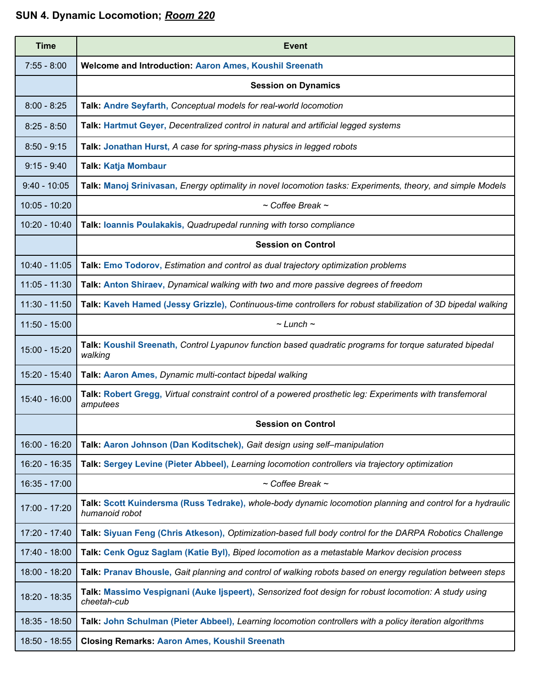# **SUN 4. Dynamic Locomotion;** *Room 220*

| <b>Time</b>     | <b>Event</b>                                                                                                                |  |  |
|-----------------|-----------------------------------------------------------------------------------------------------------------------------|--|--|
| $7:55 - 8:00$   | <b>Welcome and Introduction: Aaron Ames, Koushil Sreenath</b>                                                               |  |  |
|                 | <b>Session on Dynamics</b>                                                                                                  |  |  |
| $8:00 - 8:25$   | Talk: Andre Seyfarth, Conceptual models for real-world locomotion                                                           |  |  |
| $8:25 - 8:50$   | Talk: Hartmut Geyer, Decentralized control in natural and artificial legged systems                                         |  |  |
| $8:50 - 9:15$   | Talk: Jonathan Hurst, A case for spring-mass physics in legged robots                                                       |  |  |
| $9:15 - 9:40$   | <b>Talk: Katja Mombaur</b>                                                                                                  |  |  |
| $9:40 - 10:05$  | Talk: Manoj Srinivasan, Energy optimality in novel locomotion tasks: Experiments, theory, and simple Models                 |  |  |
| $10:05 - 10:20$ | $\sim$ Coffee Break $\sim$                                                                                                  |  |  |
| $10:20 - 10:40$ | Talk: loannis Poulakakis, Quadrupedal running with torso compliance                                                         |  |  |
|                 | <b>Session on Control</b>                                                                                                   |  |  |
| $10:40 - 11:05$ | Talk: Emo Todorov, Estimation and control as dual trajectory optimization problems                                          |  |  |
| $11:05 - 11:30$ | Talk: Anton Shiraev, Dynamical walking with two and more passive degrees of freedom                                         |  |  |
| $11:30 - 11:50$ | Talk: Kaveh Hamed (Jessy Grizzle), Continuous-time controllers for robust stabilization of 3D bipedal walking               |  |  |
| $11:50 - 15:00$ | $\sim$ Lunch $\sim$                                                                                                         |  |  |
| 15:00 - 15:20   | Talk: Koushil Sreenath, Control Lyapunov function based quadratic programs for torque saturated bipedal<br>walking          |  |  |
| 15:20 - 15:40   | Talk: Aaron Ames, Dynamic multi-contact bipedal walking                                                                     |  |  |
| 15:40 - 16:00   | Talk: Robert Gregg, Virtual constraint control of a powered prosthetic leg: Experiments with transfemoral<br>amputees       |  |  |
|                 | <b>Session on Control</b>                                                                                                   |  |  |
| $16:00 - 16:20$ | Talk: Aaron Johnson (Dan Koditschek), Gait design using self-manipulation                                                   |  |  |
| 16:20 - 16:35   | Talk: Sergey Levine (Pieter Abbeel), Learning locomotion controllers via trajectory optimization                            |  |  |
| $16:35 - 17:00$ | $\sim$ Coffee Break $\sim$                                                                                                  |  |  |
| 17:00 - 17:20   | Talk: Scott Kuindersma (Russ Tedrake), whole-body dynamic locomotion planning and control for a hydraulic<br>humanoid robot |  |  |
| 17:20 - 17:40   | Talk: Siyuan Feng (Chris Atkeson), Optimization-based full body control for the DARPA Robotics Challenge                    |  |  |
| 17:40 - 18:00   | Talk: Cenk Oguz Saglam (Katie Byl), Biped locomotion as a metastable Markov decision process                                |  |  |
| 18:00 - 18:20   | Talk: Pranav Bhousle, Gait planning and control of walking robots based on energy regulation between steps                  |  |  |
| 18:20 - 18:35   | Talk: Massimo Vespignani (Auke Ijspeert), Sensorized foot design for robust locomotion: A study using<br>cheetah-cub        |  |  |
| 18:35 - 18:50   | Talk: John Schulman (Pieter Abbeel), Learning locomotion controllers with a policy iteration algorithms                     |  |  |
| 18:50 - 18:55   | <b>Closing Remarks: Aaron Ames, Koushil Sreenath</b>                                                                        |  |  |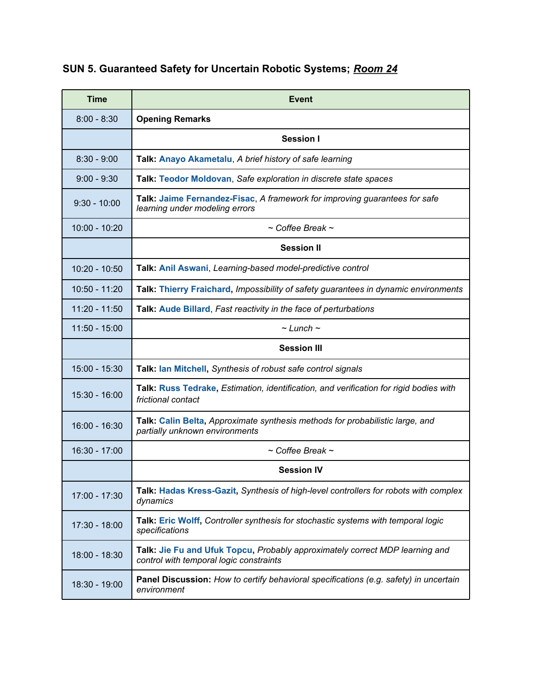| SUN 5. Guaranteed Safety for Uncertain Robotic Systems; Room 24 |  |  |  |  |  |
|-----------------------------------------------------------------|--|--|--|--|--|
|-----------------------------------------------------------------|--|--|--|--|--|

| <b>Time</b>     | <b>Event</b>                                                                                                            |
|-----------------|-------------------------------------------------------------------------------------------------------------------------|
| $8:00 - 8:30$   | <b>Opening Remarks</b>                                                                                                  |
|                 | <b>Session I</b>                                                                                                        |
| $8:30 - 9:00$   | Talk: Anayo Akametalu, A brief history of safe learning                                                                 |
| $9:00 - 9:30$   | Talk: Teodor Moldovan, Safe exploration in discrete state spaces                                                        |
| $9:30 - 10:00$  | Talk: Jaime Fernandez-Fisac, A framework for improving guarantees for safe<br>learning under modeling errors            |
| $10:00 - 10:20$ | $\sim$ Coffee Break $\sim$                                                                                              |
|                 | <b>Session II</b>                                                                                                       |
| $10:20 - 10:50$ | Talk: Anil Aswani, Learning-based model-predictive control                                                              |
| 10:50 - 11:20   | Talk: Thierry Fraichard, Impossibility of safety guarantees in dynamic environments                                     |
| $11:20 - 11:50$ | Talk: Aude Billard, Fast reactivity in the face of perturbations                                                        |
| $11:50 - 15:00$ | $\sim$ Lunch $\sim$                                                                                                     |
|                 | <b>Session III</b>                                                                                                      |
| $15:00 - 15:30$ | Talk: lan Mitchell, Synthesis of robust safe control signals                                                            |
| $15:30 - 16:00$ | Talk: Russ Tedrake, Estimation, identification, and verification for rigid bodies with<br>frictional contact            |
| $16:00 - 16:30$ | Talk: Calin Belta, Approximate synthesis methods for probabilistic large, and<br>partially unknown environments         |
| 16:30 - 17:00   | $\sim$ Coffee Break $\sim$                                                                                              |
|                 | <b>Session IV</b>                                                                                                       |
| 17:00 - 17:30   | Talk: Hadas Kress-Gazit, Synthesis of high-level controllers for robots with complex<br>dynamics                        |
| 17:30 - 18:00   | Talk: Eric Wolff, Controller synthesis for stochastic systems with temporal logic<br>specifications                     |
| 18:00 - 18:30   | Talk: Jie Fu and Ufuk Topcu, Probably approximately correct MDP learning and<br>control with temporal logic constraints |
| 18:30 - 19:00   | <b>Panel Discussion:</b> How to certify behavioral specifications (e.g. safety) in uncertain<br>environment             |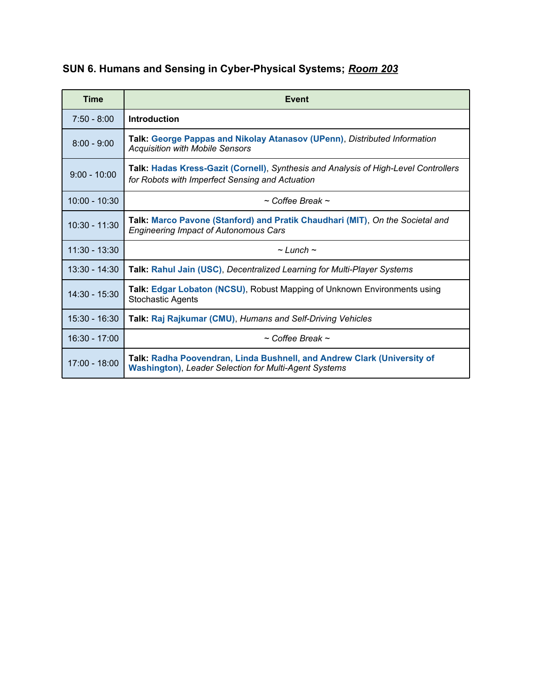# **SUN 6. Humans and Sensing in Cyber-Physical Systems;** *Room 203*

| <b>Time</b>     | Event                                                                                                                                   |
|-----------------|-----------------------------------------------------------------------------------------------------------------------------------------|
| $7:50 - 8:00$   | Introduction                                                                                                                            |
| $8:00 - 9:00$   | Talk: George Pappas and Nikolay Atanasov (UPenn), Distributed Information<br><b>Acquisition with Mobile Sensors</b>                     |
| $9:00 - 10:00$  | Talk: Hadas Kress-Gazit (Cornell), Synthesis and Analysis of High-Level Controllers<br>for Robots with Imperfect Sensing and Actuation  |
| $10:00 - 10:30$ | $\sim$ Coffee Break $\sim$                                                                                                              |
| 10:30 - 11:30   | Talk: Marco Pavone (Stanford) and Pratik Chaudhari (MIT), On the Societal and<br><b>Engineering Impact of Autonomous Cars</b>           |
| $11:30 - 13:30$ | $\sim$ Lunch $\sim$                                                                                                                     |
| $13:30 - 14:30$ | Talk: Rahul Jain (USC), Decentralized Learning for Multi-Player Systems                                                                 |
| $14:30 - 15:30$ | <b>Talk: Edgar Lobaton (NCSU), Robust Mapping of Unknown Environments using</b><br><b>Stochastic Agents</b>                             |
| $15:30 - 16:30$ | Talk: Raj Rajkumar (CMU), Humans and Self-Driving Vehicles                                                                              |
| $16:30 - 17:00$ | $\sim$ Coffee Break $\sim$                                                                                                              |
| 17:00 - 18:00   | Talk: Radha Poovendran, Linda Bushnell, and Andrew Clark (University of<br><b>Washington), Leader Selection for Multi-Agent Systems</b> |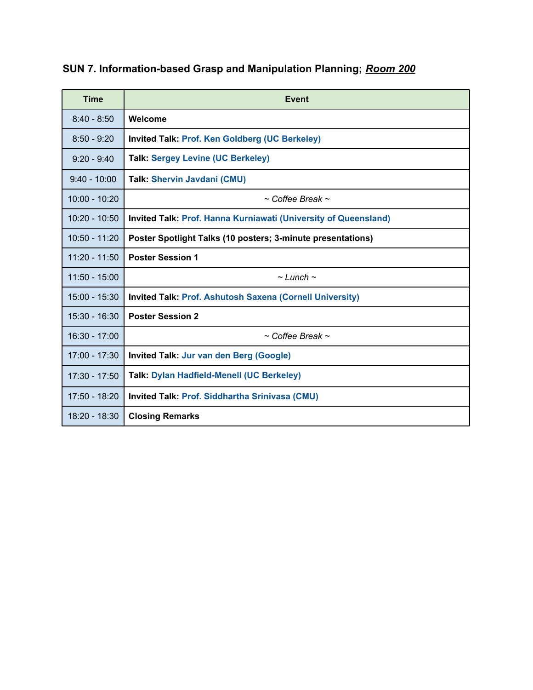| <b>Time</b>     | Event                                                                  |
|-----------------|------------------------------------------------------------------------|
| $8:40 - 8:50$   | Welcome                                                                |
| $8:50 - 9:20$   | <b>Invited Talk: Prof. Ken Goldberg (UC Berkeley)</b>                  |
| $9:20 - 9:40$   | <b>Talk: Sergey Levine (UC Berkeley)</b>                               |
| $9:40 - 10:00$  | <b>Talk: Shervin Javdani (CMU)</b>                                     |
| $10:00 - 10:20$ | $\sim$ Coffee Break $\sim$                                             |
| $10:20 - 10:50$ | <b>Invited Talk: Prof. Hanna Kurniawati (University of Queensland)</b> |
| $10:50 - 11:20$ | Poster Spotlight Talks (10 posters; 3-minute presentations)            |
| $11:20 - 11:50$ | <b>Poster Session 1</b>                                                |
| $11:50 - 15:00$ | $\sim$ Lunch $\sim$                                                    |
| $15:00 - 15:30$ | <b>Invited Talk: Prof. Ashutosh Saxena (Cornell University)</b>        |
| $15:30 - 16:30$ | <b>Poster Session 2</b>                                                |
| $16:30 - 17:00$ | $\sim$ Coffee Break $\sim$                                             |
| $17:00 - 17:30$ | <b>Invited Talk: Jur van den Berg (Google)</b>                         |
| $17:30 - 17:50$ | <b>Talk: Dylan Hadfield-Menell (UC Berkeley)</b>                       |
| 17:50 - 18:20   | Invited Talk: Prof. Siddhartha Srinivasa (CMU)                         |
| $18:20 - 18:30$ | <b>Closing Remarks</b>                                                 |

# **SUN 7. Information-based Grasp and Manipulation Planning;** *Room 200*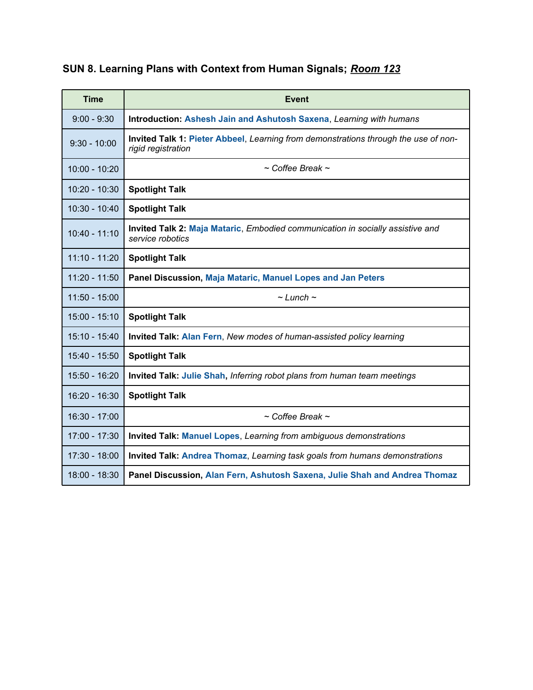| <b>Time</b>     | <b>Event</b>                                                                                              |
|-----------------|-----------------------------------------------------------------------------------------------------------|
| $9:00 - 9:30$   | Introduction: Ashesh Jain and Ashutosh Saxena, Learning with humans                                       |
| $9:30 - 10:00$  | Invited Talk 1: Pieter Abbeel, Learning from demonstrations through the use of non-<br>rigid registration |
| $10:00 - 10:20$ | $\sim$ Coffee Break $\sim$                                                                                |
| $10:20 - 10:30$ | <b>Spotlight Talk</b>                                                                                     |
| 10:30 - 10:40   | <b>Spotlight Talk</b>                                                                                     |
| $10:40 - 11:10$ | Invited Talk 2: Maja Mataric, Embodied communication in socially assistive and<br>service robotics        |
| $11:10 - 11:20$ | <b>Spotlight Talk</b>                                                                                     |
| $11:20 - 11:50$ | Panel Discussion, Maja Mataric, Manuel Lopes and Jan Peters                                               |
| $11:50 - 15:00$ | $\sim$ Lunch $\sim$                                                                                       |
| $15:00 - 15:10$ | <b>Spotlight Talk</b>                                                                                     |
| 15:10 - 15:40   | Invited Talk: Alan Fern, New modes of human-assisted policy learning                                      |
| 15:40 - 15:50   | <b>Spotlight Talk</b>                                                                                     |
| $15:50 - 16:20$ | <b>Invited Talk: Julie Shah, Inferring robot plans from human team meetings</b>                           |
| 16:20 - 16:30   | <b>Spotlight Talk</b>                                                                                     |
| $16:30 - 17:00$ | $\sim$ Coffee Break $\sim$                                                                                |
| 17:00 - 17:30   | Invited Talk: Manuel Lopes, Learning from ambiguous demonstrations                                        |
| 17:30 - 18:00   | Invited Talk: Andrea Thomaz, Learning task goals from humans demonstrations                               |
| 18:00 - 18:30   | Panel Discussion, Alan Fern, Ashutosh Saxena, Julie Shah and Andrea Thomaz                                |

# **SUN 8. Learning Plans with Context from Human Signals;** *Room 123*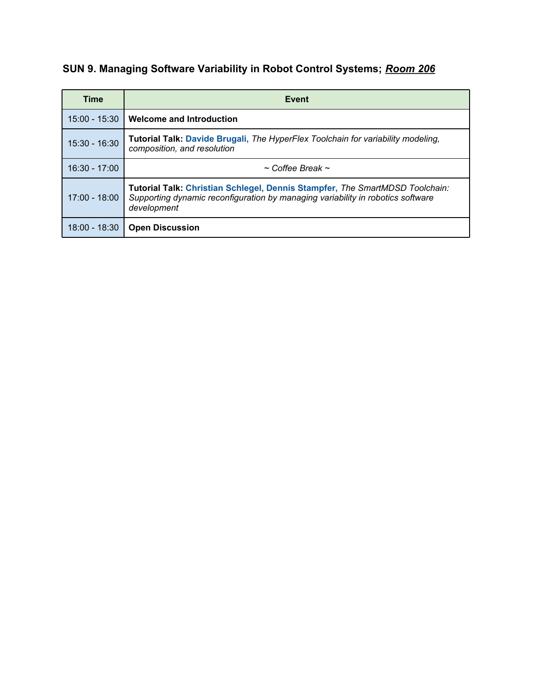# **SUN 9. Managing Software Variability in Robot Control Systems;** *Room 206*

| Time          | Event                                                                                                                                                                          |
|---------------|--------------------------------------------------------------------------------------------------------------------------------------------------------------------------------|
| 15:00 - 15:30 | Welcome and Introduction                                                                                                                                                       |
| 15:30 - 16:30 | <b>Tutorial Talk: Davide Brugali, The HyperFlex Toolchain for variability modeling,</b><br>composition, and resolution                                                         |
| 16:30 - 17:00 | $\sim$ Coffee Break $\sim$                                                                                                                                                     |
| 17:00 - 18:00 | Tutorial Talk: Christian Schlegel, Dennis Stampfer, The SmartMDSD Toolchain:<br>Supporting dynamic reconfiguration by managing variability in robotics software<br>development |
| 18:00 - 18:30 | <b>Open Discussion</b>                                                                                                                                                         |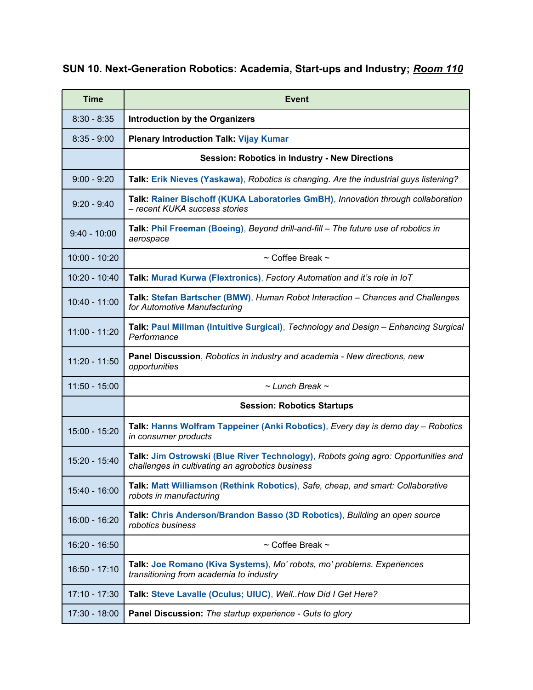## **SUN 10. Next-Generation Robotics: Academia, Start-ups and Industry;** *Room 110*

| <b>Time</b>     | <b>Event</b>                                                                                                                          |
|-----------------|---------------------------------------------------------------------------------------------------------------------------------------|
| $8:30 - 8:35$   | <b>Introduction by the Organizers</b>                                                                                                 |
| $8:35 - 9:00$   | <b>Plenary Introduction Talk: Vijay Kumar</b>                                                                                         |
|                 | <b>Session: Robotics in Industry - New Directions</b>                                                                                 |
| $9:00 - 9:20$   | Talk: Erik Nieves (Yaskawa), Robotics is changing. Are the industrial guys listening?                                                 |
| $9:20 - 9:40$   | Talk: Rainer Bischoff (KUKA Laboratories GmBH), Innovation through collaboration<br>- recent KUKA success stories                     |
| $9:40 - 10:00$  | Talk: Phil Freeman (Boeing), Beyond drill-and-fill – The future use of robotics in<br>aerospace                                       |
| $10:00 - 10:20$ | $\sim$ Coffee Break $\sim$                                                                                                            |
| 10:20 - 10:40   | Talk: Murad Kurwa (Flextronics), Factory Automation and it's role in IoT                                                              |
| $10:40 - 11:00$ | Talk: Stefan Bartscher (BMW), Human Robot Interaction - Chances and Challenges<br>for Automotive Manufacturing                        |
| $11:00 - 11:20$ | Talk: Paul Millman (Intuitive Surgical), Technology and Design - Enhancing Surgical<br>Performance                                    |
| $11:20 - 11:50$ | <b>Panel Discussion</b> , Robotics in industry and academia - New directions, new<br>opportunities                                    |
| $11:50 - 15:00$ | $\sim$ Lunch Break $\sim$                                                                                                             |
|                 | <b>Session: Robotics Startups</b>                                                                                                     |
| 15:00 - 15:20   | Talk: Hanns Wolfram Tappeiner (Anki Robotics), Every day is demo day - Robotics<br>in consumer products                               |
| 15:20 - 15:40   | Talk: Jim Ostrowski (Blue River Technology), Robots going agro: Opportunities and<br>challenges in cultivating an agrobotics business |
| 15:40 - 16:00   | Talk: Matt Williamson (Rethink Robotics), Safe, cheap, and smart: Collaborative<br>robots in manufacturing                            |
| 16:00 - 16:20   | Talk: Chris Anderson/Brandon Basso (3D Robotics), Building an open source<br>robotics business                                        |
| 16:20 - 16:50   | $\sim$ Coffee Break $\sim$                                                                                                            |
| $16:50 - 17:10$ | Talk: Joe Romano (Kiva Systems), Mo' robots, mo' problems. Experiences<br>transitioning from academia to industry                     |
| $17:10 - 17:30$ | Talk: Steve Lavalle (Oculus; UIUC), WellHow Did I Get Here?                                                                           |
| $17:30 - 18:00$ | Panel Discussion: The startup experience - Guts to glory                                                                              |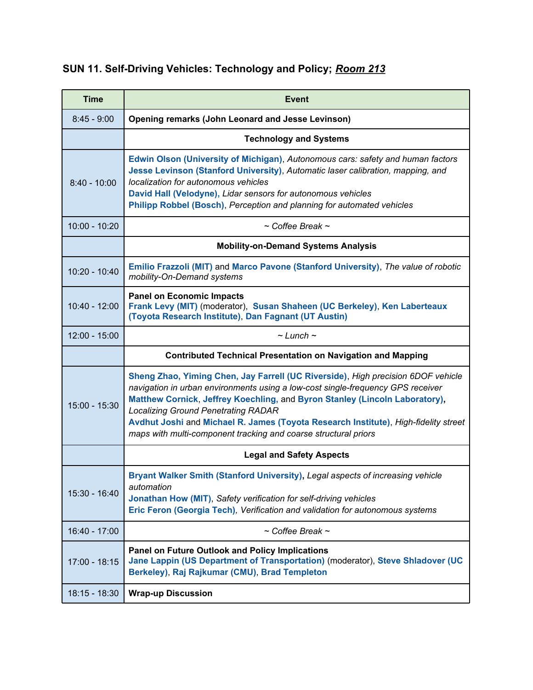# **SUN 11. Self-Driving Vehicles: Technology and Policy;** *Room 213*

| <b>Time</b>     | <b>Event</b>                                                                                                                                                                                                                                                                                                                                                                                                                                               |
|-----------------|------------------------------------------------------------------------------------------------------------------------------------------------------------------------------------------------------------------------------------------------------------------------------------------------------------------------------------------------------------------------------------------------------------------------------------------------------------|
| $8:45 - 9:00$   | <b>Opening remarks (John Leonard and Jesse Levinson)</b>                                                                                                                                                                                                                                                                                                                                                                                                   |
|                 | <b>Technology and Systems</b>                                                                                                                                                                                                                                                                                                                                                                                                                              |
| $8:40 - 10:00$  | Edwin Olson (University of Michigan), Autonomous cars: safety and human factors<br>Jesse Levinson (Stanford University), Automatic laser calibration, mapping, and<br>localization for autonomous vehicles<br>David Hall (Velodyne), Lidar sensors for autonomous vehicles<br>Philipp Robbel (Bosch), Perception and planning for automated vehicles                                                                                                       |
| $10:00 - 10:20$ | $\sim$ Coffee Break $\sim$                                                                                                                                                                                                                                                                                                                                                                                                                                 |
|                 | <b>Mobility-on-Demand Systems Analysis</b>                                                                                                                                                                                                                                                                                                                                                                                                                 |
| 10:20 - 10:40   | Emilio Frazzoli (MIT) and Marco Pavone (Stanford University), The value of robotic<br>mobility-On-Demand systems                                                                                                                                                                                                                                                                                                                                           |
| $10:40 - 12:00$ | <b>Panel on Economic Impacts</b><br>Frank Levy (MIT) (moderator), Susan Shaheen (UC Berkeley), Ken Laberteaux<br>(Toyota Research Institute), Dan Fagnant (UT Austin)                                                                                                                                                                                                                                                                                      |
| $12:00 - 15:00$ | $\sim$ Lunch $\sim$                                                                                                                                                                                                                                                                                                                                                                                                                                        |
|                 | <b>Contributed Technical Presentation on Navigation and Mapping</b>                                                                                                                                                                                                                                                                                                                                                                                        |
| 15:00 - 15:30   | Sheng Zhao, Yiming Chen, Jay Farrell (UC Riverside), High precision 6DOF vehicle<br>navigation in urban environments using a low-cost single-frequency GPS receiver<br>Matthew Cornick, Jeffrey Koechling, and Byron Stanley (Lincoln Laboratory),<br><b>Localizing Ground Penetrating RADAR</b><br>Avdhut Joshi and Michael R. James (Toyota Research Institute), High-fidelity street<br>maps with multi-component tracking and coarse structural priors |
|                 | <b>Legal and Safety Aspects</b>                                                                                                                                                                                                                                                                                                                                                                                                                            |
| 15:30 - 16:40   | Bryant Walker Smith (Stanford University), Legal aspects of increasing vehicle<br>automation<br>Jonathan How (MIT), Safety verification for self-driving vehicles<br>Eric Feron (Georgia Tech), Verification and validation for autonomous systems                                                                                                                                                                                                         |
| $16:40 - 17:00$ | $\sim$ Coffee Break $\sim$                                                                                                                                                                                                                                                                                                                                                                                                                                 |
| $17:00 - 18:15$ | <b>Panel on Future Outlook and Policy Implications</b><br>Jane Lappin (US Department of Transportation) (moderator), Steve Shladover (UC<br>Berkeley), Raj Rajkumar (CMU), Brad Templeton                                                                                                                                                                                                                                                                  |
| $18:15 - 18:30$ | <b>Wrap-up Discussion</b>                                                                                                                                                                                                                                                                                                                                                                                                                                  |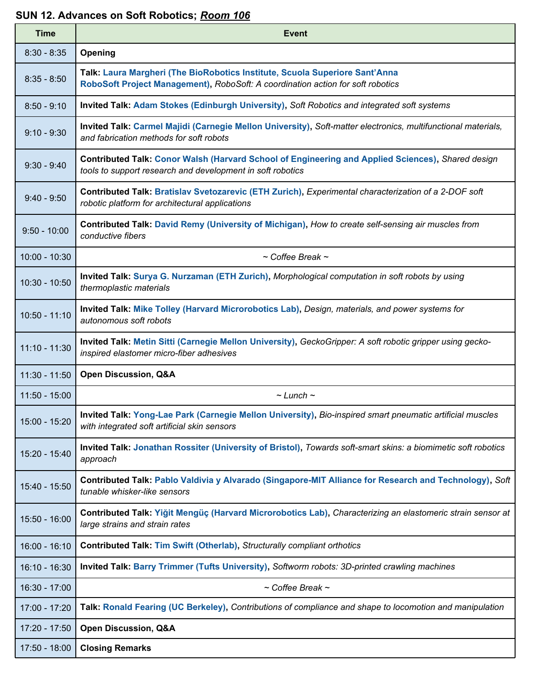#### **SUN 12. Advances on Soft Robotics;** *Room 106*

| <b>Time</b>     | <b>Event</b>                                                                                                                                                    |
|-----------------|-----------------------------------------------------------------------------------------------------------------------------------------------------------------|
| $8:30 - 8:35$   | Opening                                                                                                                                                         |
| $8:35 - 8:50$   | Talk: Laura Margheri (The BioRobotics Institute, Scuola Superiore Sant'Anna<br>RoboSoft Project Management), RoboSoft: A coordination action for soft robotics  |
| $8:50 - 9:10$   | Invited Talk: Adam Stokes (Edinburgh University), Soft Robotics and integrated soft systems                                                                     |
| $9:10 - 9:30$   | Invited Talk: Carmel Majidi (Carnegie Mellon University), Soft-matter electronics, multifunctional materials,<br>and fabrication methods for soft robots        |
| $9:30 - 9:40$   | Contributed Talk: Conor Walsh (Harvard School of Engineering and Applied Sciences), Shared design<br>tools to support research and development in soft robotics |
| $9:40 - 9:50$   | Contributed Talk: Bratislav Svetozarevic (ETH Zurich), Experimental characterization of a 2-DOF soft<br>robotic platform for architectural applications         |
| $9:50 - 10:00$  | Contributed Talk: David Remy (University of Michigan), How to create self-sensing air muscles from<br>conductive fibers                                         |
| $10:00 - 10:30$ | $\sim$ Coffee Break $\sim$                                                                                                                                      |
| $10:30 - 10:50$ | Invited Talk: Surya G. Nurzaman (ETH Zurich), Morphological computation in soft robots by using<br>thermoplastic materials                                      |
| $10:50 - 11:10$ | Invited Talk: Mike Tolley (Harvard Microrobotics Lab), Design, materials, and power systems for<br>autonomous soft robots                                       |
| $11:10 - 11:30$ | Invited Talk: Metin Sitti (Carnegie Mellon University), GeckoGripper: A soft robotic gripper using gecko-<br>inspired elastomer micro-fiber adhesives           |
| $11:30 - 11:50$ | <b>Open Discussion, Q&amp;A</b>                                                                                                                                 |
| $11:50 - 15:00$ | $\sim$ Lunch $\sim$                                                                                                                                             |
| 15:00 - 15:20   | Invited Talk: Yong-Lae Park (Carnegie Mellon University), Bio-inspired smart pneumatic artificial muscles<br>with integrated soft artificial skin sensors       |
| 15:20 - 15:40   | Invited Talk: Jonathan Rossiter (University of Bristol), Towards soft-smart skins: a biomimetic soft robotics<br>approach                                       |
| 15:40 - 15:50   | Contributed Talk: Pablo Valdivia y Alvarado (Singapore-MIT Alliance for Research and Technology), Soft<br>tunable whisker-like sensors                          |
| 15:50 - 16:00   | Contributed Talk: Yiğit Mengüç (Harvard Microrobotics Lab), Characterizing an elastomeric strain sensor at<br>large strains and strain rates                    |
| $16:00 - 16:10$ | Contributed Talk: Tim Swift (Otherlab), Structurally compliant orthotics                                                                                        |
| $16:10 - 16:30$ | Invited Talk: Barry Trimmer (Tufts University), Softworm robots: 3D-printed crawling machines                                                                   |
| $16:30 - 17:00$ | $\sim$ Coffee Break $\sim$                                                                                                                                      |
| 17:00 - 17:20   | Talk: Ronald Fearing (UC Berkeley), Contributions of compliance and shape to locomotion and manipulation                                                        |
| 17:20 - 17:50   | <b>Open Discussion, Q&amp;A</b>                                                                                                                                 |
| $17:50 - 18:00$ | <b>Closing Remarks</b>                                                                                                                                          |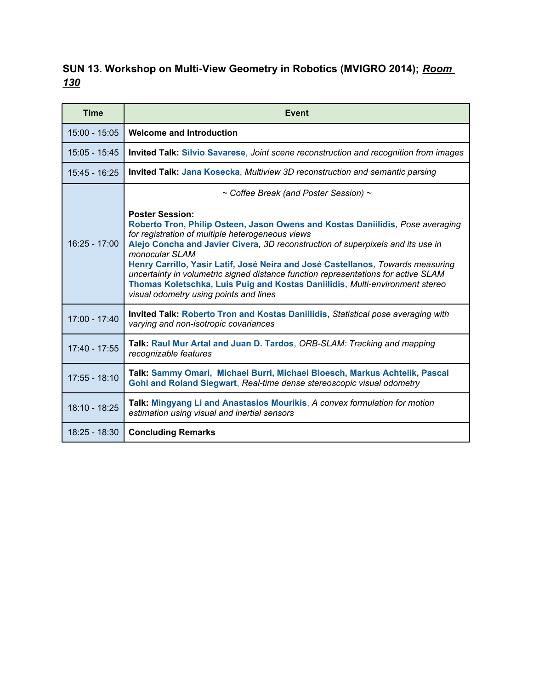### **SUN 13. Workshop on Multi-View Geometry in Robotics (MVIGRO 2014);** *Room 130*

| <b>Time</b>     | Event                                                                                                                                                                                                                                                                                                                                                                                                                                                                                                                                                                |
|-----------------|----------------------------------------------------------------------------------------------------------------------------------------------------------------------------------------------------------------------------------------------------------------------------------------------------------------------------------------------------------------------------------------------------------------------------------------------------------------------------------------------------------------------------------------------------------------------|
| $15:00 - 15:05$ | <b>Welcome and Introduction</b>                                                                                                                                                                                                                                                                                                                                                                                                                                                                                                                                      |
| $15:05 - 15:45$ | Invited Talk: Silvio Savarese, Joint scene reconstruction and recognition from images                                                                                                                                                                                                                                                                                                                                                                                                                                                                                |
| $15:45 - 16:25$ | <b>Invited Talk: Jana Kosecka, Multiview 3D reconstruction and semantic parsing</b>                                                                                                                                                                                                                                                                                                                                                                                                                                                                                  |
|                 | $\sim$ Coffee Break (and Poster Session) $\sim$                                                                                                                                                                                                                                                                                                                                                                                                                                                                                                                      |
| $16:25 - 17:00$ | <b>Poster Session:</b><br>Roberto Tron, Philip Osteen, Jason Owens and Kostas Daniilidis, Pose averaging<br>for registration of multiple heterogeneous views<br>Alejo Concha and Javier Civera, 3D reconstruction of superpixels and its use in<br>monocular SLAM<br>Henry Carrillo, Yasir Latif, José Neira and José Castellanos, Towards measuring<br>uncertainty in volumetric signed distance function representations for active SLAM<br>Thomas Koletschka, Luis Puig and Kostas Daniilidis, Multi-environment stereo<br>visual odometry using points and lines |
| $17:00 - 17:40$ | Invited Talk: Roberto Tron and Kostas Daniilidis, Statistical pose averaging with<br>varying and non-isotropic covariances                                                                                                                                                                                                                                                                                                                                                                                                                                           |
| 17:40 - 17:55   | Talk: Raul Mur Artal and Juan D. Tardos, ORB-SLAM: Tracking and mapping<br>recognizable features                                                                                                                                                                                                                                                                                                                                                                                                                                                                     |
| $17:55 - 18:10$ | Talk: Sammy Omari, Michael Burri, Michael Bloesch, Markus Achtelik, Pascal<br>Gohl and Roland Siegwart, Real-time dense stereoscopic visual odometry                                                                                                                                                                                                                                                                                                                                                                                                                 |
| 18:10 - 18:25   | Talk: Mingyang Li and Anastasios Mourikis, A convex formulation for motion<br>estimation using visual and inertial sensors                                                                                                                                                                                                                                                                                                                                                                                                                                           |
| $18:25 - 18:30$ | <b>Concluding Remarks</b>                                                                                                                                                                                                                                                                                                                                                                                                                                                                                                                                            |